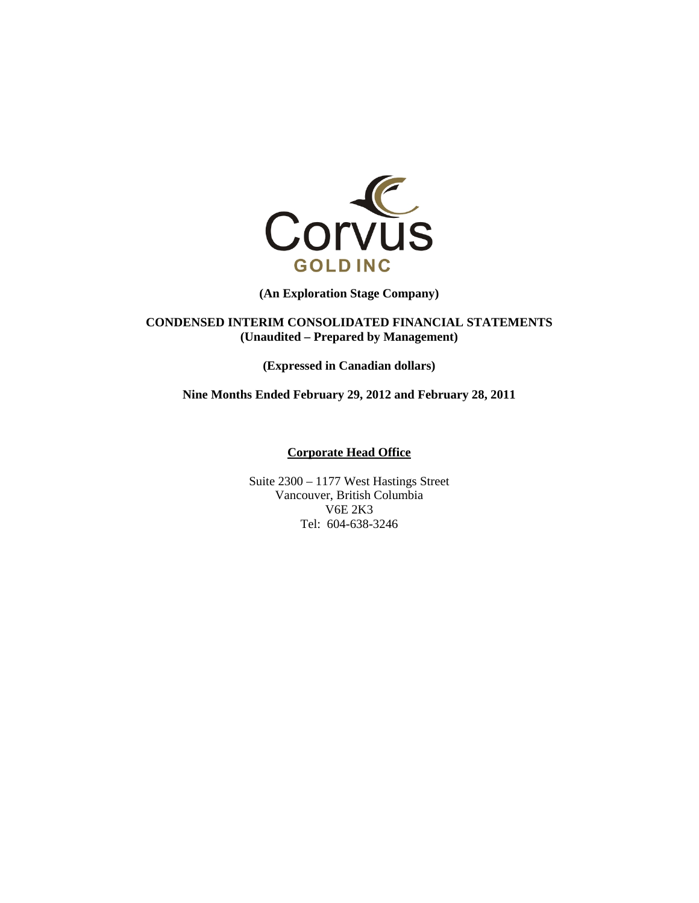

**(An Exploration Stage Company)** 

**CONDENSED INTERIM CONSOLIDATED FINANCIAL STATEMENTS (Unaudited – Prepared by Management)** 

**(Expressed in Canadian dollars)** 

**Nine Months Ended February 29, 2012 and February 28, 2011** 

**Corporate Head Office** 

Suite 2300 – 1177 West Hastings Street Vancouver, British Columbia V6E 2K3 Tel: 604-638-3246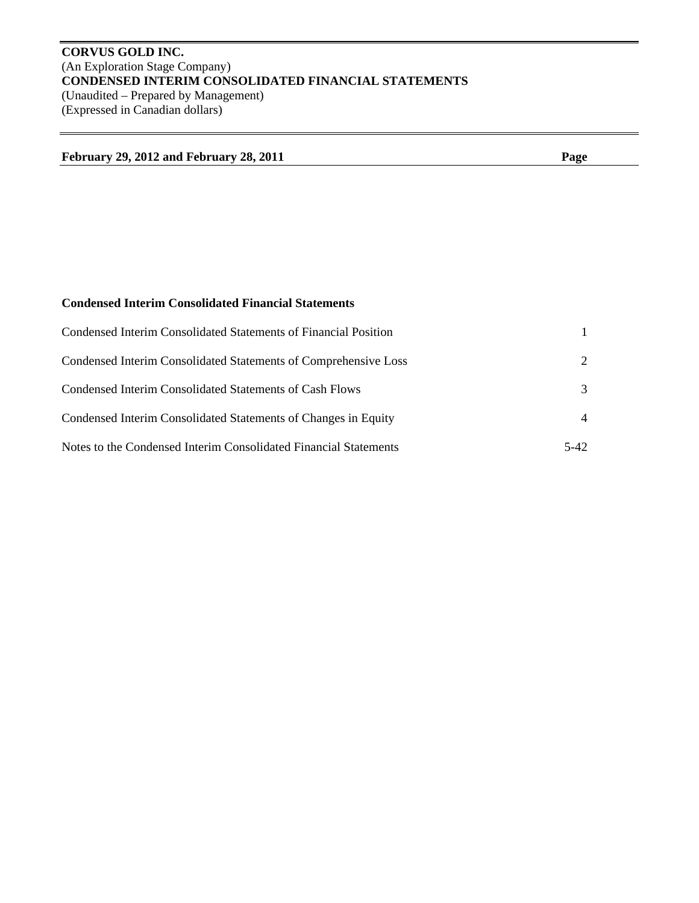# **CORVUS GOLD INC.**  (An Exploration Stage Company) **CONDENSED INTERIM CONSOLIDATED FINANCIAL STATEMENTS**  (Unaudited – Prepared by Management) (Expressed in Canadian dollars)

| February 29, 2012 and February 28, 2011 | "age |
|-----------------------------------------|------|
|                                         |      |

# **Condensed Interim Consolidated Financial Statements**

| Condensed Interim Consolidated Statements of Financial Position  |                             |
|------------------------------------------------------------------|-----------------------------|
| Condensed Interim Consolidated Statements of Comprehensive Loss  | $\mathcal{D}_{\mathcal{L}}$ |
| Condensed Interim Consolidated Statements of Cash Flows          | 3                           |
| Condensed Interim Consolidated Statements of Changes in Equity   | $\overline{4}$              |
| Notes to the Condensed Interim Consolidated Financial Statements | 5-42                        |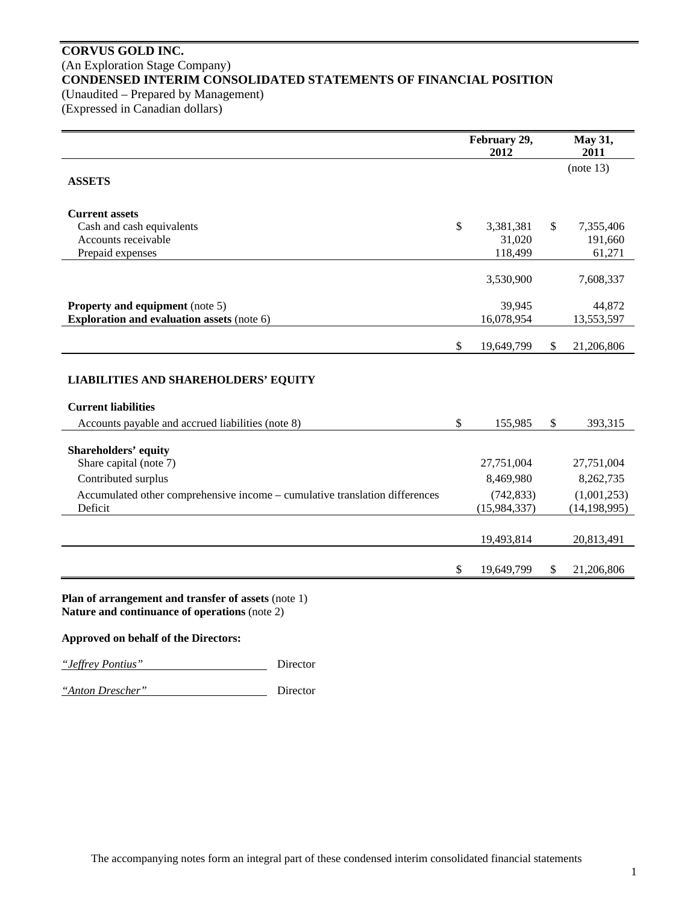# **CORVUS GOLD INC.**  (An Exploration Stage Company) **CONDENSED INTERIM CONSOLIDATED STATEMENTS OF FINANCIAL POSITION**  (Unaudited – Prepared by Management)

(Expressed in Canadian dollars)

|                                                                                                      | February 29,<br>2012 | May 31,<br>2011  |
|------------------------------------------------------------------------------------------------------|----------------------|------------------|
| <b>ASSETS</b>                                                                                        |                      | (note 13)        |
| <b>Current assets</b>                                                                                |                      |                  |
| Cash and cash equivalents                                                                            | \$<br>3,381,381      | \$<br>7,355,406  |
| Accounts receivable                                                                                  | 31,020               | 191,660          |
| Prepaid expenses                                                                                     | 118,499              | 61,271           |
|                                                                                                      | 3,530,900            | 7,608,337        |
| <b>Property and equipment</b> (note 5)                                                               | 39,945               | 44,872           |
| <b>Exploration and evaluation assets (note 6)</b>                                                    | 16,078,954           | 13,553,597       |
|                                                                                                      | \$<br>19,649,799     | \$<br>21,206,806 |
| <b>LIABILITIES AND SHAREHOLDERS' EQUITY</b><br><b>Current liabilities</b>                            |                      |                  |
| Accounts payable and accrued liabilities (note 8)                                                    | \$<br>155,985        | \$<br>393,315    |
| <b>Shareholders' equity</b><br>Share capital (note 7)                                                | 27,751,004           | 27,751,004       |
| Contributed surplus                                                                                  | 8,469,980            | 8,262,735        |
| Accumulated other comprehensive income - cumulative translation differences                          | (742, 833)           | (1,001,253)      |
| Deficit                                                                                              | (15,984,337)         | (14, 198, 995)   |
|                                                                                                      | 19,493,814           | 20,813,491       |
|                                                                                                      | \$<br>19,649,799     | \$<br>21,206,806 |
| Plan of arrangement and transfer of assets (note 1)<br>Nature and continuance of operations (note 2) |                      |                  |

**Approved on behalf of the Directors:** 

*"Jeffrey Pontius"* Director

*"Anton Drescher"* Director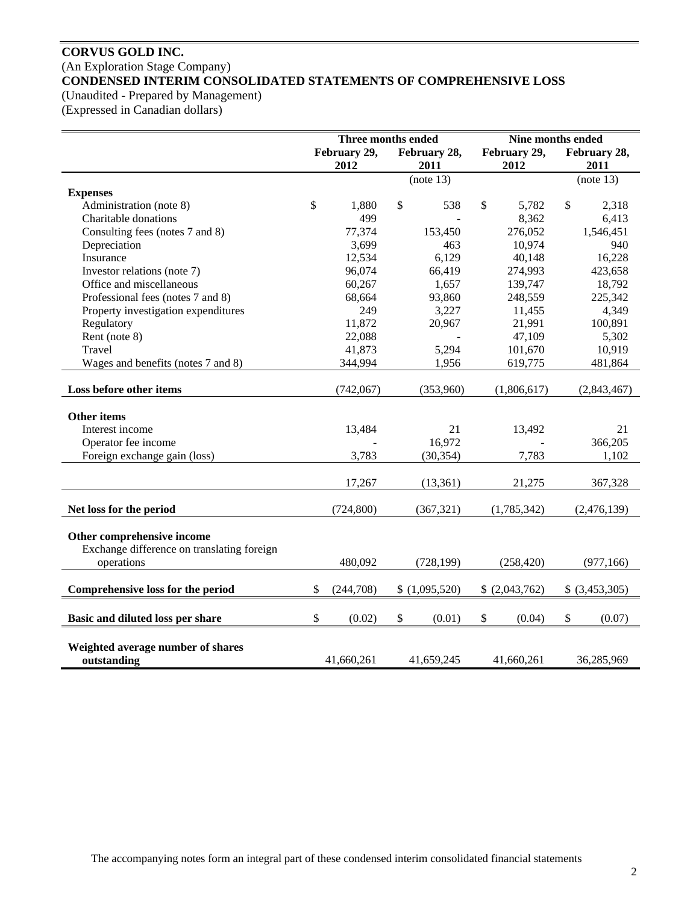# **CORVUS GOLD INC.**  (An Exploration Stage Company) **CONDENSED INTERIM CONSOLIDATED STATEMENTS OF COMPREHENSIVE LOSS**

(Unaudited - Prepared by Management)

(Expressed in Canadian dollars)

|                                            | Three months ended |              |               | Nine months ended |                           |                |               |                |
|--------------------------------------------|--------------------|--------------|---------------|-------------------|---------------------------|----------------|---------------|----------------|
|                                            |                    | February 29, |               | February 28,      |                           | February 29,   |               | February 28,   |
|                                            |                    | 2012<br>2011 |               |                   | 2012                      |                | 2011          |                |
|                                            |                    |              |               | (note 13)         |                           |                |               | (note 13)      |
| <b>Expenses</b>                            |                    |              |               |                   |                           |                |               |                |
| Administration (note 8)                    | \$                 | 1,880        | $\mathcal{S}$ | 538               | \$                        | 5,782          | $\mathcal{S}$ | 2,318          |
| Charitable donations                       |                    | 499          |               |                   |                           | 8,362          |               | 6,413          |
| Consulting fees (notes 7 and 8)            |                    | 77,374       |               | 153,450           |                           | 276,052        |               | 1,546,451      |
| Depreciation                               |                    | 3,699        |               | 463               |                           | 10,974         |               | 940            |
| Insurance                                  |                    | 12,534       |               | 6,129             |                           | 40,148         |               | 16,228         |
| Investor relations (note 7)                |                    | 96,074       |               | 66,419            |                           | 274,993        |               | 423,658        |
| Office and miscellaneous                   |                    | 60,267       |               | 1,657             |                           | 139,747        |               | 18,792         |
| Professional fees (notes 7 and 8)          |                    | 68,664       |               | 93,860            |                           | 248,559        |               | 225,342        |
| Property investigation expenditures        |                    | 249          |               | 3,227             |                           | 11,455         |               | 4,349          |
| Regulatory                                 |                    | 11,872       |               | 20,967            |                           | 21,991         |               | 100,891        |
| Rent (note 8)                              |                    | 22,088       |               |                   |                           | 47,109         |               | 5,302          |
| Travel                                     |                    | 41,873       |               | 5,294             |                           | 101,670        |               | 10,919         |
| Wages and benefits (notes 7 and 8)         |                    | 344,994      |               | 1,956             |                           | 619,775        |               | 481,864        |
|                                            |                    |              |               |                   |                           |                |               |                |
| Loss before other items                    |                    | (742,067)    |               | (353,960)         |                           | (1,806,617)    |               | (2,843,467)    |
|                                            |                    |              |               |                   |                           |                |               |                |
| Other items                                |                    |              |               |                   |                           |                |               |                |
| Interest income                            |                    | 13,484       |               | 21                |                           | 13,492         |               | 21             |
| Operator fee income                        |                    |              |               | 16,972            |                           |                |               | 366,205        |
| Foreign exchange gain (loss)               |                    | 3,783        |               | (30, 354)         |                           | 7,783          |               | 1,102          |
|                                            |                    | 17,267       |               | (13, 361)         |                           | 21,275         |               | 367,328        |
|                                            |                    |              |               |                   |                           |                |               |                |
| Net loss for the period                    |                    | (724, 800)   |               | (367, 321)        |                           | (1,785,342)    |               | (2,476,139)    |
|                                            |                    |              |               |                   |                           |                |               |                |
| Other comprehensive income                 |                    |              |               |                   |                           |                |               |                |
| Exchange difference on translating foreign |                    |              |               |                   |                           |                |               |                |
| operations                                 |                    | 480,092      |               | (728, 199)        |                           | (258, 420)     |               | (977, 166)     |
|                                            |                    |              |               |                   |                           |                |               |                |
| Comprehensive loss for the period          | \$                 | (244, 708)   |               | \$(1,095,520)     |                           | \$ (2,043,762) |               | \$ (3,453,305) |
|                                            |                    |              |               |                   |                           |                |               |                |
| Basic and diluted loss per share           | $\mathcal{S}$      | (0.02)       | \$            | (0.01)            | $\boldsymbol{\mathsf{S}}$ | (0.04)         | \$            | (0.07)         |
|                                            |                    |              |               |                   |                           |                |               |                |
| Weighted average number of shares          |                    |              |               |                   |                           |                |               |                |
| outstanding                                |                    | 41,660,261   |               | 41,659,245        |                           | 41,660,261     |               | 36,285,969     |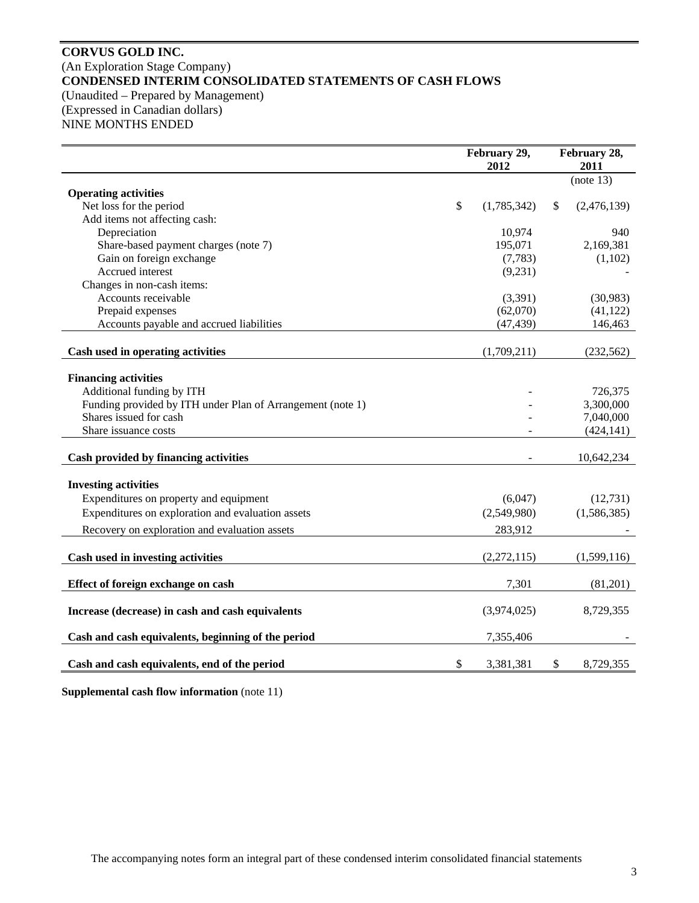# **CORVUS GOLD INC.**  (An Exploration Stage Company) **CONDENSED INTERIM CONSOLIDATED STATEMENTS OF CASH FLOWS**  (Unaudited – Prepared by Management) (Expressed in Canadian dollars) NINE MONTHS ENDED

|                                                            | February 29,<br>2012 |             |    | February 28,<br>2011 |
|------------------------------------------------------------|----------------------|-------------|----|----------------------|
|                                                            |                      |             |    | (note 13)            |
| <b>Operating activities</b>                                |                      |             |    |                      |
| Net loss for the period                                    | \$                   | (1,785,342) | \$ | (2,476,139)          |
| Add items not affecting cash:                              |                      |             |    |                      |
| Depreciation                                               |                      | 10,974      |    | 940                  |
| Share-based payment charges (note 7)                       |                      | 195,071     |    | 2,169,381            |
| Gain on foreign exchange                                   |                      | (7,783)     |    | (1,102)              |
| Accrued interest                                           |                      | (9,231)     |    |                      |
| Changes in non-cash items:<br>Accounts receivable          |                      |             |    |                      |
|                                                            |                      | (3,391)     |    | (30, 983)            |
| Prepaid expenses                                           |                      | (62,070)    |    | (41, 122)            |
| Accounts payable and accrued liabilities                   |                      | (47, 439)   |    | 146,463              |
| Cash used in operating activities                          |                      | (1,709,211) |    | (232, 562)           |
|                                                            |                      |             |    |                      |
| <b>Financing activities</b>                                |                      |             |    |                      |
| Additional funding by ITH                                  |                      |             |    | 726,375              |
| Funding provided by ITH under Plan of Arrangement (note 1) |                      |             |    | 3,300,000            |
| Shares issued for cash                                     |                      |             |    | 7,040,000            |
| Share issuance costs                                       |                      |             |    | (424, 141)           |
| Cash provided by financing activities                      |                      |             |    | 10,642,234           |
| <b>Investing activities</b>                                |                      |             |    |                      |
|                                                            |                      |             |    |                      |
| Expenditures on property and equipment                     |                      | (6,047)     |    | (12, 731)            |
| Expenditures on exploration and evaluation assets          |                      | (2,549,980) |    | (1,586,385)          |
| Recovery on exploration and evaluation assets              |                      | 283,912     |    |                      |
| Cash used in investing activities                          |                      | (2,272,115) |    | (1,599,116)          |
|                                                            |                      |             |    |                      |
| Effect of foreign exchange on cash                         |                      | 7,301       |    | (81,201)             |
| Increase (decrease) in cash and cash equivalents           |                      | (3,974,025) |    | 8,729,355            |
| Cash and cash equivalents, beginning of the period         |                      | 7,355,406   |    |                      |
| Cash and cash equivalents, end of the period               | \$                   | 3,381,381   | \$ | 8,729,355            |

**Supplemental cash flow information** (note 11)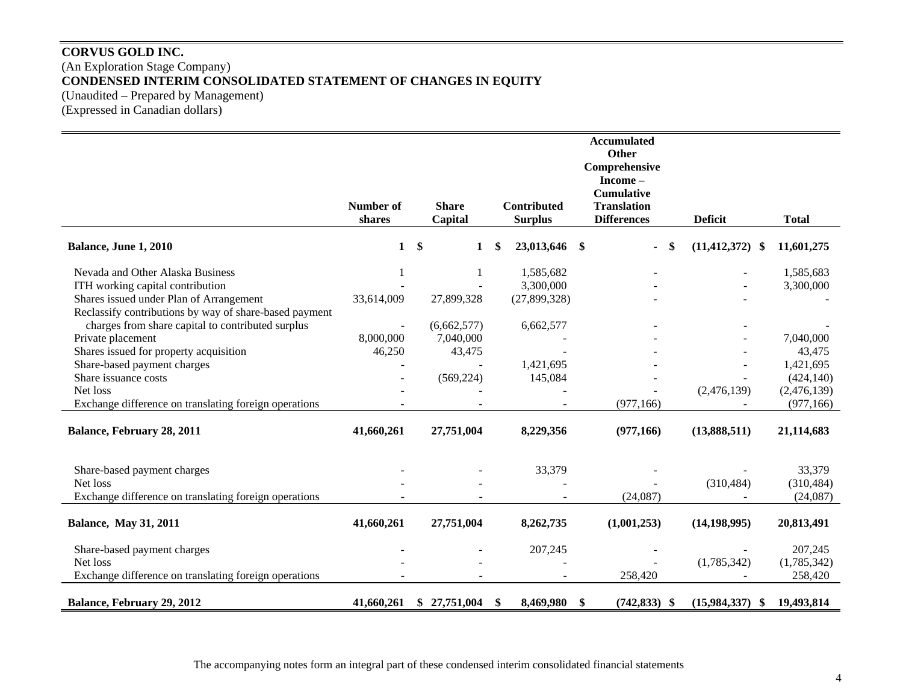# **CORVUS GOLD INC.**  (An Exploration Stage Company) **CONDENSED INTERIM CONSOLIDATED STATEMENT OF CHANGES IN EQUITY**  (Unaudited – Prepared by Management) (Expressed in Canadian dollars)

|                                                        |              |    |              |     |                    |     | <b>Accumulated</b><br>Other |                     |              |
|--------------------------------------------------------|--------------|----|--------------|-----|--------------------|-----|-----------------------------|---------------------|--------------|
|                                                        |              |    |              |     |                    |     | Comprehensive<br>Income-    |                     |              |
|                                                        |              |    |              |     |                    |     | <b>Cumulative</b>           |                     |              |
|                                                        | Number of    |    | <b>Share</b> |     | <b>Contributed</b> |     | <b>Translation</b>          |                     |              |
|                                                        | shares       |    | Capital      |     | <b>Surplus</b>     |     | <b>Differences</b>          | <b>Deficit</b>      | <b>Total</b> |
| Balance, June 1, 2010                                  | $\mathbf{1}$ | \$ | $\mathbf 1$  | \$. | 23,013,646 \$      |     | \$<br>$\blacksquare$        | $(11, 412, 372)$ \$ | 11,601,275   |
| Nevada and Other Alaska Business                       |              |    |              |     | 1,585,682          |     |                             |                     | 1,585,683    |
| ITH working capital contribution                       |              |    |              |     | 3,300,000          |     |                             |                     | 3,300,000    |
| Shares issued under Plan of Arrangement                | 33,614,009   |    | 27,899,328   |     | (27, 899, 328)     |     |                             |                     |              |
| Reclassify contributions by way of share-based payment |              |    |              |     |                    |     |                             |                     |              |
| charges from share capital to contributed surplus      |              |    | (6,662,577)  |     | 6,662,577          |     |                             |                     |              |
| Private placement                                      | 8,000,000    |    | 7,040,000    |     |                    |     |                             |                     | 7,040,000    |
| Shares issued for property acquisition                 | 46,250       |    | 43,475       |     |                    |     |                             |                     | 43,475       |
| Share-based payment charges                            |              |    |              |     | 1,421,695          |     |                             |                     | 1,421,695    |
| Share issuance costs                                   |              |    | (569, 224)   |     | 145,084            |     |                             |                     | (424, 140)   |
| Net loss                                               |              |    |              |     |                    |     |                             | (2,476,139)         | (2,476,139)  |
| Exchange difference on translating foreign operations  |              |    |              |     |                    |     | (977, 166)                  |                     | (977, 166)   |
| Balance, February 28, 2011                             | 41,660,261   |    | 27,751,004   |     | 8,229,356          |     | (977,166)                   | (13,888,511)        | 21,114,683   |
| Share-based payment charges                            |              |    |              |     | 33,379             |     |                             |                     | 33,379       |
| Net loss                                               |              |    |              |     |                    |     |                             | (310, 484)          | (310, 484)   |
| Exchange difference on translating foreign operations  |              |    |              |     |                    |     | (24,087)                    |                     | (24,087)     |
| <b>Balance, May 31, 2011</b>                           | 41,660,261   |    | 27,751,004   |     | 8,262,735          |     | (1,001,253)                 | (14, 198, 995)      | 20,813,491   |
| Share-based payment charges                            |              |    |              |     | 207,245            |     |                             |                     | 207,245      |
| Net loss                                               |              |    |              |     |                    |     |                             | (1,785,342)         | (1,785,342)  |
| Exchange difference on translating foreign operations  |              |    |              |     |                    |     | 258,420                     |                     | 258,420      |
| Balance, February 29, 2012                             | 41,660,261   | S. | 27,751,004   | \$  | 8,469,980          | -\$ | $(742, 833)$ \$             | (15,984,337)<br>-S  | 19,493,814   |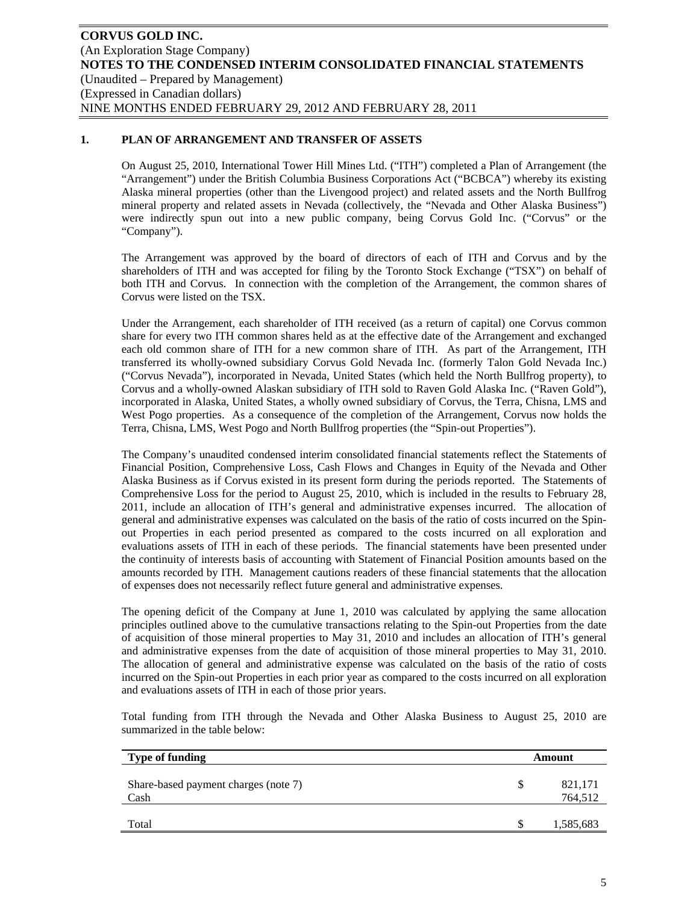# **1. PLAN OF ARRANGEMENT AND TRANSFER OF ASSETS**

On August 25, 2010, International Tower Hill Mines Ltd. ("ITH") completed a Plan of Arrangement (the "Arrangement") under the British Columbia Business Corporations Act ("BCBCA") whereby its existing Alaska mineral properties (other than the Livengood project) and related assets and the North Bullfrog mineral property and related assets in Nevada (collectively, the "Nevada and Other Alaska Business") were indirectly spun out into a new public company, being Corvus Gold Inc. ("Corvus" or the "Company").

The Arrangement was approved by the board of directors of each of ITH and Corvus and by the shareholders of ITH and was accepted for filing by the Toronto Stock Exchange ("TSX") on behalf of both ITH and Corvus. In connection with the completion of the Arrangement, the common shares of Corvus were listed on the TSX.

Under the Arrangement, each shareholder of ITH received (as a return of capital) one Corvus common share for every two ITH common shares held as at the effective date of the Arrangement and exchanged each old common share of ITH for a new common share of ITH. As part of the Arrangement, ITH transferred its wholly-owned subsidiary Corvus Gold Nevada Inc. (formerly Talon Gold Nevada Inc.) ("Corvus Nevada"), incorporated in Nevada, United States (which held the North Bullfrog property), to Corvus and a wholly-owned Alaskan subsidiary of ITH sold to Raven Gold Alaska Inc. ("Raven Gold"), incorporated in Alaska, United States, a wholly owned subsidiary of Corvus, the Terra, Chisna, LMS and West Pogo properties. As a consequence of the completion of the Arrangement, Corvus now holds the Terra, Chisna, LMS, West Pogo and North Bullfrog properties (the "Spin-out Properties").

The Company's unaudited condensed interim consolidated financial statements reflect the Statements of Financial Position, Comprehensive Loss, Cash Flows and Changes in Equity of the Nevada and Other Alaska Business as if Corvus existed in its present form during the periods reported. The Statements of Comprehensive Loss for the period to August 25, 2010, which is included in the results to February 28, 2011, include an allocation of ITH's general and administrative expenses incurred. The allocation of general and administrative expenses was calculated on the basis of the ratio of costs incurred on the Spinout Properties in each period presented as compared to the costs incurred on all exploration and evaluations assets of ITH in each of these periods. The financial statements have been presented under the continuity of interests basis of accounting with Statement of Financial Position amounts based on the amounts recorded by ITH. Management cautions readers of these financial statements that the allocation of expenses does not necessarily reflect future general and administrative expenses.

The opening deficit of the Company at June 1, 2010 was calculated by applying the same allocation principles outlined above to the cumulative transactions relating to the Spin-out Properties from the date of acquisition of those mineral properties to May 31, 2010 and includes an allocation of ITH's general and administrative expenses from the date of acquisition of those mineral properties to May 31, 2010. The allocation of general and administrative expense was calculated on the basis of the ratio of costs incurred on the Spin-out Properties in each prior year as compared to the costs incurred on all exploration and evaluations assets of ITH in each of those prior years.

Total funding from ITH through the Nevada and Other Alaska Business to August 25, 2010 are summarized in the table below:

| <b>Type of funding</b>                       |   | Amount             |
|----------------------------------------------|---|--------------------|
| Share-based payment charges (note 7)<br>Cash | S | 821,171<br>764,512 |
| Total                                        | S | 1,585,683          |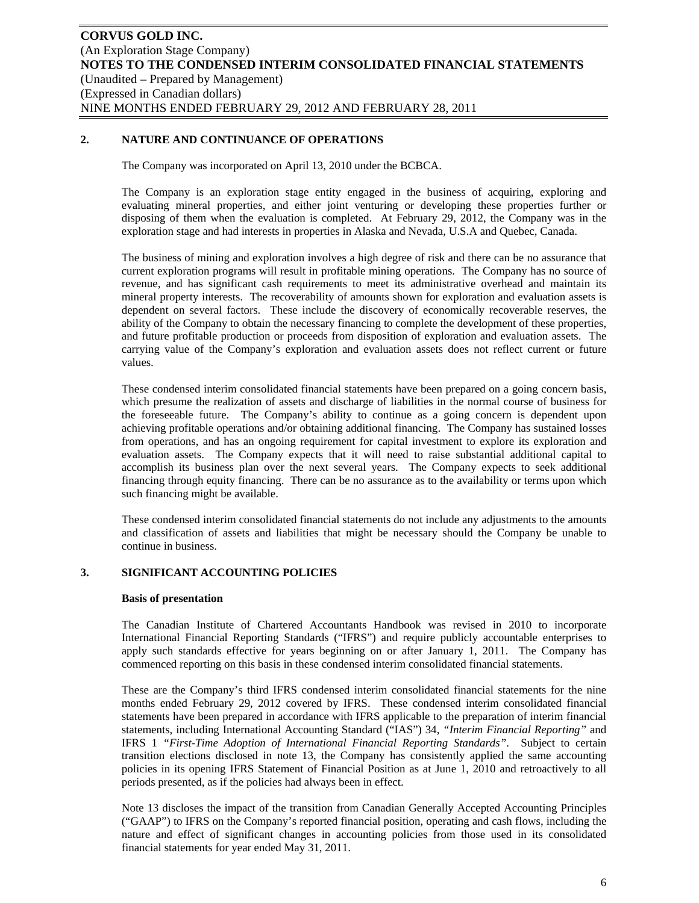# **2. NATURE AND CONTINUANCE OF OPERATIONS**

The Company was incorporated on April 13, 2010 under the BCBCA.

The Company is an exploration stage entity engaged in the business of acquiring, exploring and evaluating mineral properties, and either joint venturing or developing these properties further or disposing of them when the evaluation is completed. At February 29, 2012, the Company was in the exploration stage and had interests in properties in Alaska and Nevada, U.S.A and Quebec, Canada.

The business of mining and exploration involves a high degree of risk and there can be no assurance that current exploration programs will result in profitable mining operations. The Company has no source of revenue, and has significant cash requirements to meet its administrative overhead and maintain its mineral property interests. The recoverability of amounts shown for exploration and evaluation assets is dependent on several factors. These include the discovery of economically recoverable reserves, the ability of the Company to obtain the necessary financing to complete the development of these properties, and future profitable production or proceeds from disposition of exploration and evaluation assets. The carrying value of the Company's exploration and evaluation assets does not reflect current or future values.

These condensed interim consolidated financial statements have been prepared on a going concern basis, which presume the realization of assets and discharge of liabilities in the normal course of business for the foreseeable future. The Company's ability to continue as a going concern is dependent upon achieving profitable operations and/or obtaining additional financing. The Company has sustained losses from operations, and has an ongoing requirement for capital investment to explore its exploration and evaluation assets. The Company expects that it will need to raise substantial additional capital to accomplish its business plan over the next several years. The Company expects to seek additional financing through equity financing. There can be no assurance as to the availability or terms upon which such financing might be available.

These condensed interim consolidated financial statements do not include any adjustments to the amounts and classification of assets and liabilities that might be necessary should the Company be unable to continue in business.

# **3. SIGNIFICANT ACCOUNTING POLICIES**

#### **Basis of presentation**

The Canadian Institute of Chartered Accountants Handbook was revised in 2010 to incorporate International Financial Reporting Standards ("IFRS") and require publicly accountable enterprises to apply such standards effective for years beginning on or after January 1, 2011. The Company has commenced reporting on this basis in these condensed interim consolidated financial statements.

These are the Company's third IFRS condensed interim consolidated financial statements for the nine months ended February 29, 2012 covered by IFRS. These condensed interim consolidated financial statements have been prepared in accordance with IFRS applicable to the preparation of interim financial statements, including International Accounting Standard ("IAS") 34, *"Interim Financial Reporting"* and IFRS 1 *"First-Time Adoption of International Financial Reporting Standards"*. Subject to certain transition elections disclosed in note 13, the Company has consistently applied the same accounting policies in its opening IFRS Statement of Financial Position as at June 1, 2010 and retroactively to all periods presented, as if the policies had always been in effect.

Note 13 discloses the impact of the transition from Canadian Generally Accepted Accounting Principles ("GAAP") to IFRS on the Company's reported financial position, operating and cash flows, including the nature and effect of significant changes in accounting policies from those used in its consolidated financial statements for year ended May 31, 2011.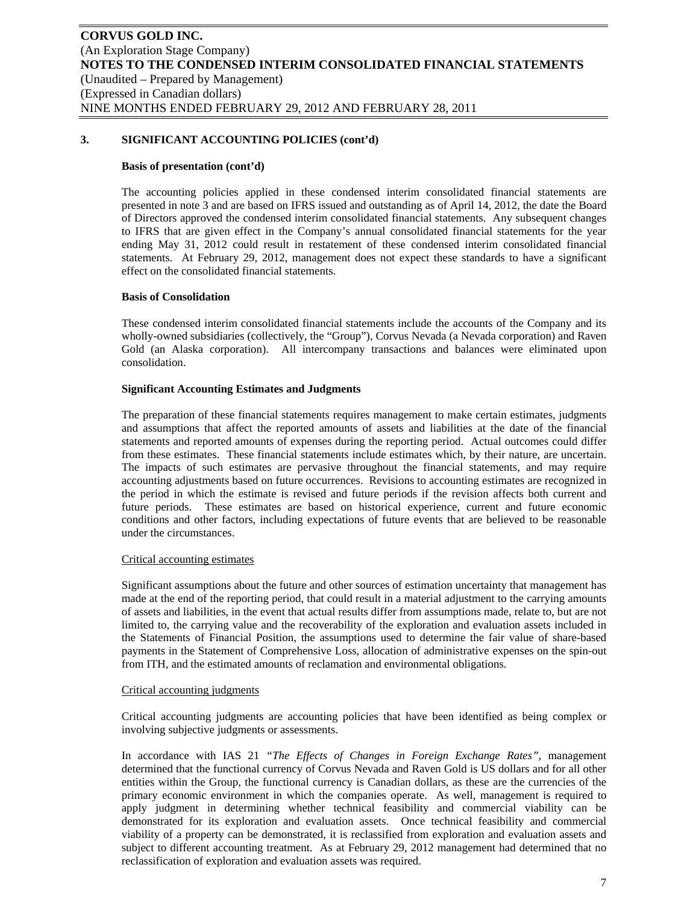#### **Basis of presentation (cont'd)**

The accounting policies applied in these condensed interim consolidated financial statements are presented in note 3 and are based on IFRS issued and outstanding as of April 14, 2012, the date the Board of Directors approved the condensed interim consolidated financial statements. Any subsequent changes to IFRS that are given effect in the Company's annual consolidated financial statements for the year ending May 31, 2012 could result in restatement of these condensed interim consolidated financial statements. At February 29, 2012, management does not expect these standards to have a significant effect on the consolidated financial statements.

### **Basis of Consolidation**

These condensed interim consolidated financial statements include the accounts of the Company and its wholly-owned subsidiaries (collectively, the "Group"), Corvus Nevada (a Nevada corporation) and Raven Gold (an Alaska corporation). All intercompany transactions and balances were eliminated upon consolidation.

### **Significant Accounting Estimates and Judgments**

The preparation of these financial statements requires management to make certain estimates, judgments and assumptions that affect the reported amounts of assets and liabilities at the date of the financial statements and reported amounts of expenses during the reporting period. Actual outcomes could differ from these estimates. These financial statements include estimates which, by their nature, are uncertain. The impacts of such estimates are pervasive throughout the financial statements, and may require accounting adjustments based on future occurrences. Revisions to accounting estimates are recognized in the period in which the estimate is revised and future periods if the revision affects both current and future periods. These estimates are based on historical experience, current and future economic conditions and other factors, including expectations of future events that are believed to be reasonable under the circumstances.

#### Critical accounting estimates

Significant assumptions about the future and other sources of estimation uncertainty that management has made at the end of the reporting period, that could result in a material adjustment to the carrying amounts of assets and liabilities, in the event that actual results differ from assumptions made, relate to, but are not limited to, the carrying value and the recoverability of the exploration and evaluation assets included in the Statements of Financial Position, the assumptions used to determine the fair value of share-based payments in the Statement of Comprehensive Loss, allocation of administrative expenses on the spin-out from ITH, and the estimated amounts of reclamation and environmental obligations.

#### Critical accounting judgments

Critical accounting judgments are accounting policies that have been identified as being complex or involving subjective judgments or assessments.

In accordance with IAS 21 *"The Effects of Changes in Foreign Exchange Rates"*, management determined that the functional currency of Corvus Nevada and Raven Gold is US dollars and for all other entities within the Group, the functional currency is Canadian dollars, as these are the currencies of the primary economic environment in which the companies operate. As well, management is required to apply judgment in determining whether technical feasibility and commercial viability can be demonstrated for its exploration and evaluation assets. Once technical feasibility and commercial viability of a property can be demonstrated, it is reclassified from exploration and evaluation assets and subject to different accounting treatment. As at February 29, 2012 management had determined that no reclassification of exploration and evaluation assets was required.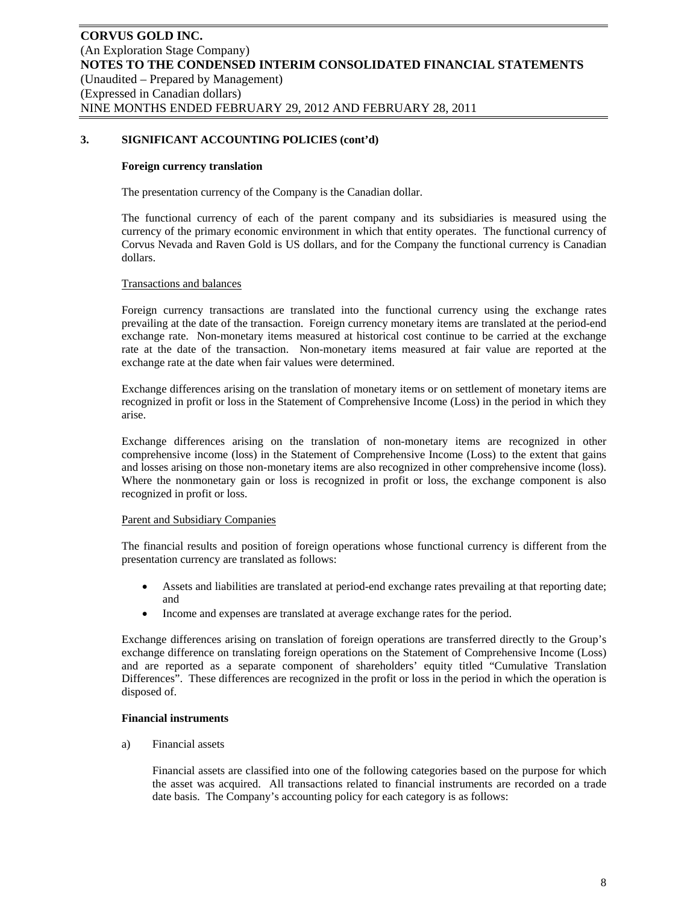#### **Foreign currency translation**

The presentation currency of the Company is the Canadian dollar.

The functional currency of each of the parent company and its subsidiaries is measured using the currency of the primary economic environment in which that entity operates. The functional currency of Corvus Nevada and Raven Gold is US dollars, and for the Company the functional currency is Canadian dollars.

### Transactions and balances

Foreign currency transactions are translated into the functional currency using the exchange rates prevailing at the date of the transaction. Foreign currency monetary items are translated at the period-end exchange rate. Non-monetary items measured at historical cost continue to be carried at the exchange rate at the date of the transaction. Non-monetary items measured at fair value are reported at the exchange rate at the date when fair values were determined.

Exchange differences arising on the translation of monetary items or on settlement of monetary items are recognized in profit or loss in the Statement of Comprehensive Income (Loss) in the period in which they arise.

Exchange differences arising on the translation of non-monetary items are recognized in other comprehensive income (loss) in the Statement of Comprehensive Income (Loss) to the extent that gains and losses arising on those non-monetary items are also recognized in other comprehensive income (loss). Where the nonmonetary gain or loss is recognized in profit or loss, the exchange component is also recognized in profit or loss.

# Parent and Subsidiary Companies

The financial results and position of foreign operations whose functional currency is different from the presentation currency are translated as follows:

- Assets and liabilities are translated at period-end exchange rates prevailing at that reporting date; and
- Income and expenses are translated at average exchange rates for the period.

Exchange differences arising on translation of foreign operations are transferred directly to the Group's exchange difference on translating foreign operations on the Statement of Comprehensive Income (Loss) and are reported as a separate component of shareholders' equity titled "Cumulative Translation Differences". These differences are recognized in the profit or loss in the period in which the operation is disposed of.

#### **Financial instruments**

a) Financial assets

Financial assets are classified into one of the following categories based on the purpose for which the asset was acquired. All transactions related to financial instruments are recorded on a trade date basis. The Company's accounting policy for each category is as follows: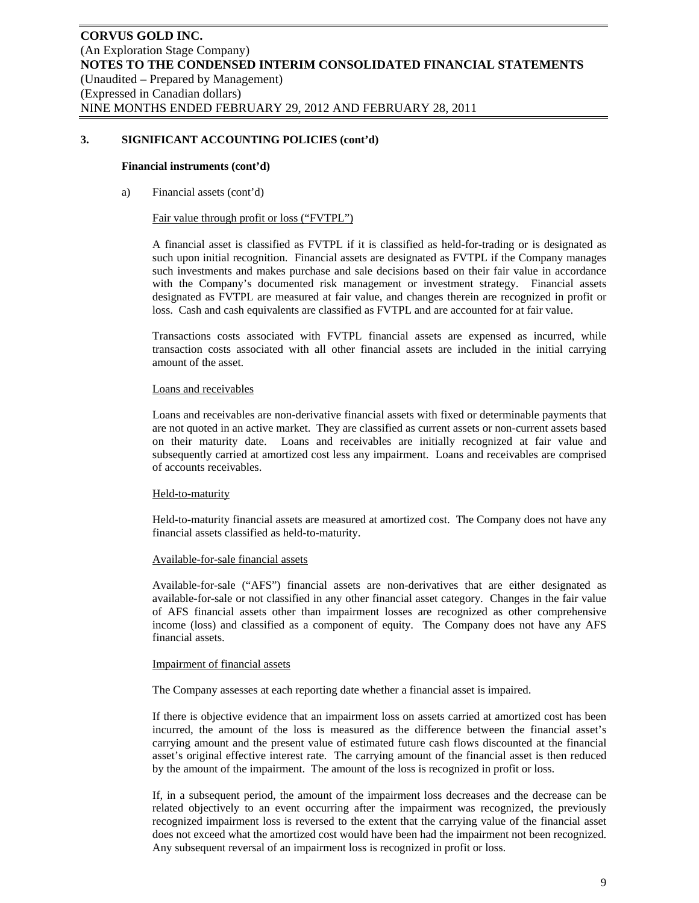#### **Financial instruments (cont'd)**

a) Financial assets (cont'd)

### Fair value through profit or loss ("FVTPL")

A financial asset is classified as FVTPL if it is classified as held-for-trading or is designated as such upon initial recognition. Financial assets are designated as FVTPL if the Company manages such investments and makes purchase and sale decisions based on their fair value in accordance with the Company's documented risk management or investment strategy. Financial assets designated as FVTPL are measured at fair value, and changes therein are recognized in profit or loss. Cash and cash equivalents are classified as FVTPL and are accounted for at fair value.

Transactions costs associated with FVTPL financial assets are expensed as incurred, while transaction costs associated with all other financial assets are included in the initial carrying amount of the asset.

### Loans and receivables

Loans and receivables are non-derivative financial assets with fixed or determinable payments that are not quoted in an active market. They are classified as current assets or non-current assets based on their maturity date. Loans and receivables are initially recognized at fair value and subsequently carried at amortized cost less any impairment. Loans and receivables are comprised of accounts receivables.

#### Held-to-maturity

Held-to-maturity financial assets are measured at amortized cost. The Company does not have any financial assets classified as held-to-maturity.

#### Available-for-sale financial assets

Available-for-sale ("AFS") financial assets are non-derivatives that are either designated as available-for-sale or not classified in any other financial asset category. Changes in the fair value of AFS financial assets other than impairment losses are recognized as other comprehensive income (loss) and classified as a component of equity. The Company does not have any AFS financial assets.

#### Impairment of financial assets

The Company assesses at each reporting date whether a financial asset is impaired.

If there is objective evidence that an impairment loss on assets carried at amortized cost has been incurred, the amount of the loss is measured as the difference between the financial asset's carrying amount and the present value of estimated future cash flows discounted at the financial asset's original effective interest rate. The carrying amount of the financial asset is then reduced by the amount of the impairment. The amount of the loss is recognized in profit or loss.

If, in a subsequent period, the amount of the impairment loss decreases and the decrease can be related objectively to an event occurring after the impairment was recognized, the previously recognized impairment loss is reversed to the extent that the carrying value of the financial asset does not exceed what the amortized cost would have been had the impairment not been recognized. Any subsequent reversal of an impairment loss is recognized in profit or loss.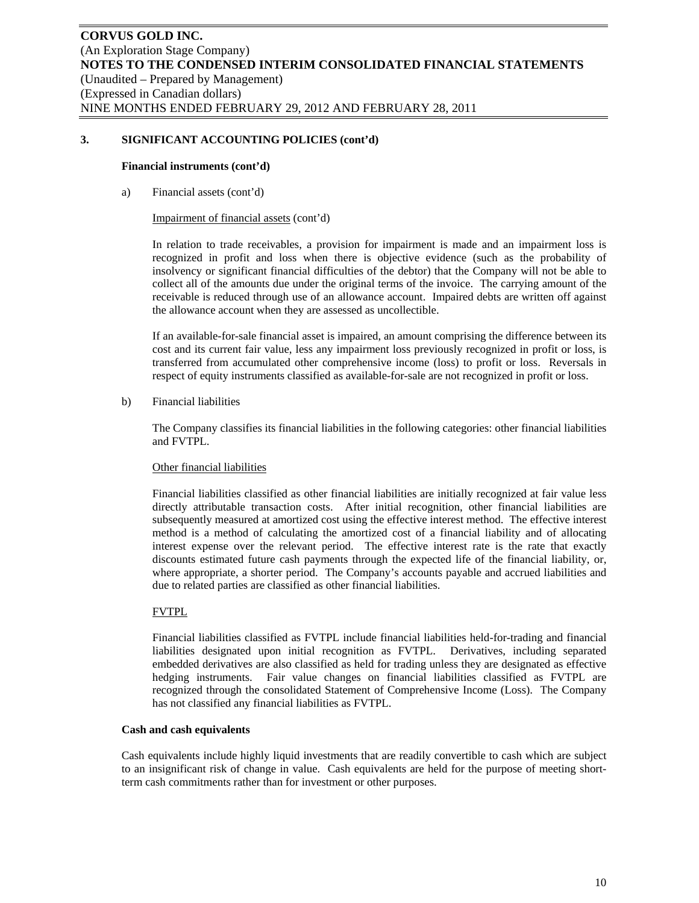#### **Financial instruments (cont'd)**

a) Financial assets (cont'd)

#### Impairment of financial assets (cont'd)

In relation to trade receivables, a provision for impairment is made and an impairment loss is recognized in profit and loss when there is objective evidence (such as the probability of insolvency or significant financial difficulties of the debtor) that the Company will not be able to collect all of the amounts due under the original terms of the invoice. The carrying amount of the receivable is reduced through use of an allowance account. Impaired debts are written off against the allowance account when they are assessed as uncollectible.

If an available-for-sale financial asset is impaired, an amount comprising the difference between its cost and its current fair value, less any impairment loss previously recognized in profit or loss, is transferred from accumulated other comprehensive income (loss) to profit or loss. Reversals in respect of equity instruments classified as available-for-sale are not recognized in profit or loss.

# b) Financial liabilities

The Company classifies its financial liabilities in the following categories: other financial liabilities and FVTPL.

# Other financial liabilities

Financial liabilities classified as other financial liabilities are initially recognized at fair value less directly attributable transaction costs. After initial recognition, other financial liabilities are subsequently measured at amortized cost using the effective interest method. The effective interest method is a method of calculating the amortized cost of a financial liability and of allocating interest expense over the relevant period. The effective interest rate is the rate that exactly discounts estimated future cash payments through the expected life of the financial liability, or, where appropriate, a shorter period. The Company's accounts payable and accrued liabilities and due to related parties are classified as other financial liabilities.

# FVTPL

Financial liabilities classified as FVTPL include financial liabilities held-for-trading and financial liabilities designated upon initial recognition as FVTPL. Derivatives, including separated embedded derivatives are also classified as held for trading unless they are designated as effective hedging instruments. Fair value changes on financial liabilities classified as FVTPL are recognized through the consolidated Statement of Comprehensive Income (Loss). The Company has not classified any financial liabilities as FVTPL.

#### **Cash and cash equivalents**

Cash equivalents include highly liquid investments that are readily convertible to cash which are subject to an insignificant risk of change in value. Cash equivalents are held for the purpose of meeting shortterm cash commitments rather than for investment or other purposes.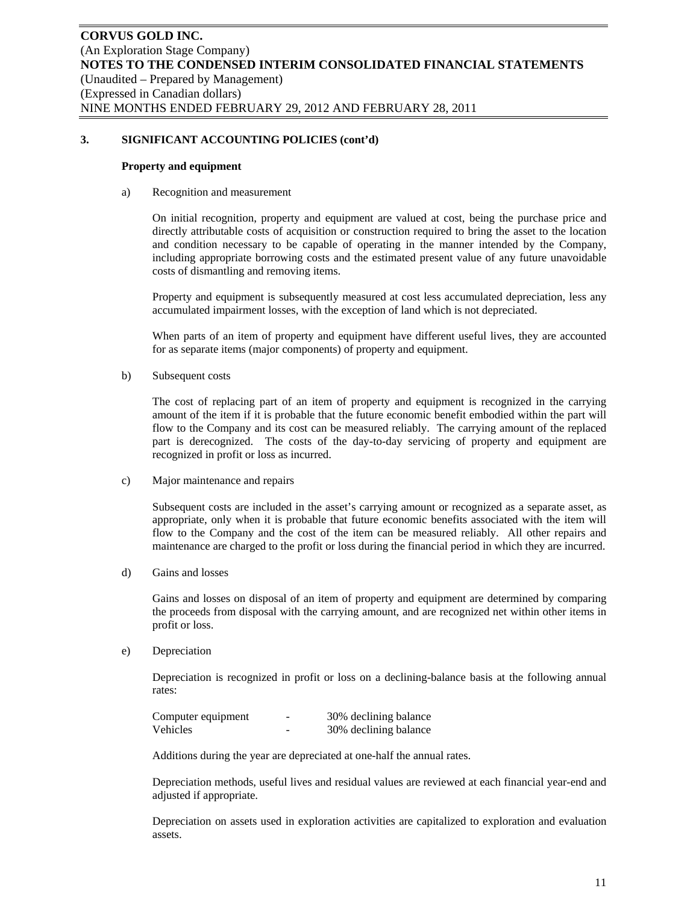#### **Property and equipment**

a) Recognition and measurement

On initial recognition, property and equipment are valued at cost, being the purchase price and directly attributable costs of acquisition or construction required to bring the asset to the location and condition necessary to be capable of operating in the manner intended by the Company, including appropriate borrowing costs and the estimated present value of any future unavoidable costs of dismantling and removing items.

Property and equipment is subsequently measured at cost less accumulated depreciation, less any accumulated impairment losses, with the exception of land which is not depreciated.

When parts of an item of property and equipment have different useful lives, they are accounted for as separate items (major components) of property and equipment.

b) Subsequent costs

The cost of replacing part of an item of property and equipment is recognized in the carrying amount of the item if it is probable that the future economic benefit embodied within the part will flow to the Company and its cost can be measured reliably. The carrying amount of the replaced part is derecognized. The costs of the day-to-day servicing of property and equipment are recognized in profit or loss as incurred.

c) Major maintenance and repairs

Subsequent costs are included in the asset's carrying amount or recognized as a separate asset, as appropriate, only when it is probable that future economic benefits associated with the item will flow to the Company and the cost of the item can be measured reliably. All other repairs and maintenance are charged to the profit or loss during the financial period in which they are incurred.

d) Gains and losses

Gains and losses on disposal of an item of property and equipment are determined by comparing the proceeds from disposal with the carrying amount, and are recognized net within other items in profit or loss.

e) Depreciation

Depreciation is recognized in profit or loss on a declining-balance basis at the following annual rates:

| Computer equipment | - | 30% declining balance |
|--------------------|---|-----------------------|
| Vehicles           | - | 30% declining balance |

Additions during the year are depreciated at one-half the annual rates.

Depreciation methods, useful lives and residual values are reviewed at each financial year-end and adjusted if appropriate.

Depreciation on assets used in exploration activities are capitalized to exploration and evaluation assets.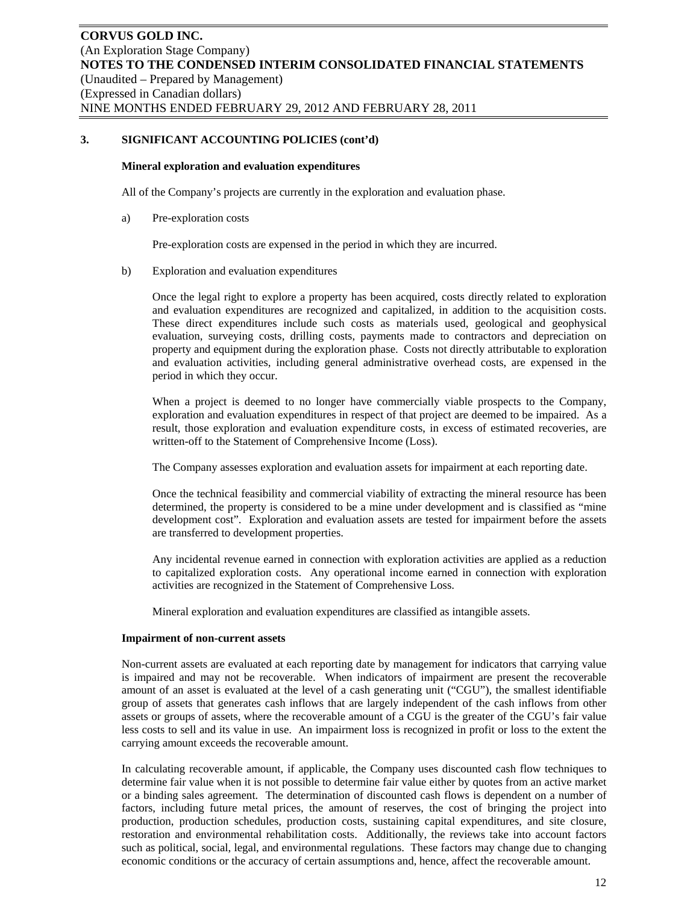#### **Mineral exploration and evaluation expenditures**

All of the Company's projects are currently in the exploration and evaluation phase.

a) Pre-exploration costs

Pre-exploration costs are expensed in the period in which they are incurred.

b) Exploration and evaluation expenditures

Once the legal right to explore a property has been acquired, costs directly related to exploration and evaluation expenditures are recognized and capitalized, in addition to the acquisition costs. These direct expenditures include such costs as materials used, geological and geophysical evaluation, surveying costs, drilling costs, payments made to contractors and depreciation on property and equipment during the exploration phase. Costs not directly attributable to exploration and evaluation activities, including general administrative overhead costs, are expensed in the period in which they occur.

When a project is deemed to no longer have commercially viable prospects to the Company, exploration and evaluation expenditures in respect of that project are deemed to be impaired. As a result, those exploration and evaluation expenditure costs, in excess of estimated recoveries, are written-off to the Statement of Comprehensive Income (Loss).

The Company assesses exploration and evaluation assets for impairment at each reporting date.

Once the technical feasibility and commercial viability of extracting the mineral resource has been determined, the property is considered to be a mine under development and is classified as "mine development cost". Exploration and evaluation assets are tested for impairment before the assets are transferred to development properties.

Any incidental revenue earned in connection with exploration activities are applied as a reduction to capitalized exploration costs. Any operational income earned in connection with exploration activities are recognized in the Statement of Comprehensive Loss.

Mineral exploration and evaluation expenditures are classified as intangible assets.

#### **Impairment of non-current assets**

Non-current assets are evaluated at each reporting date by management for indicators that carrying value is impaired and may not be recoverable. When indicators of impairment are present the recoverable amount of an asset is evaluated at the level of a cash generating unit ("CGU"), the smallest identifiable group of assets that generates cash inflows that are largely independent of the cash inflows from other assets or groups of assets, where the recoverable amount of a CGU is the greater of the CGU's fair value less costs to sell and its value in use. An impairment loss is recognized in profit or loss to the extent the carrying amount exceeds the recoverable amount.

In calculating recoverable amount, if applicable, the Company uses discounted cash flow techniques to determine fair value when it is not possible to determine fair value either by quotes from an active market or a binding sales agreement. The determination of discounted cash flows is dependent on a number of factors, including future metal prices, the amount of reserves, the cost of bringing the project into production, production schedules, production costs, sustaining capital expenditures, and site closure, restoration and environmental rehabilitation costs. Additionally, the reviews take into account factors such as political, social, legal, and environmental regulations. These factors may change due to changing economic conditions or the accuracy of certain assumptions and, hence, affect the recoverable amount.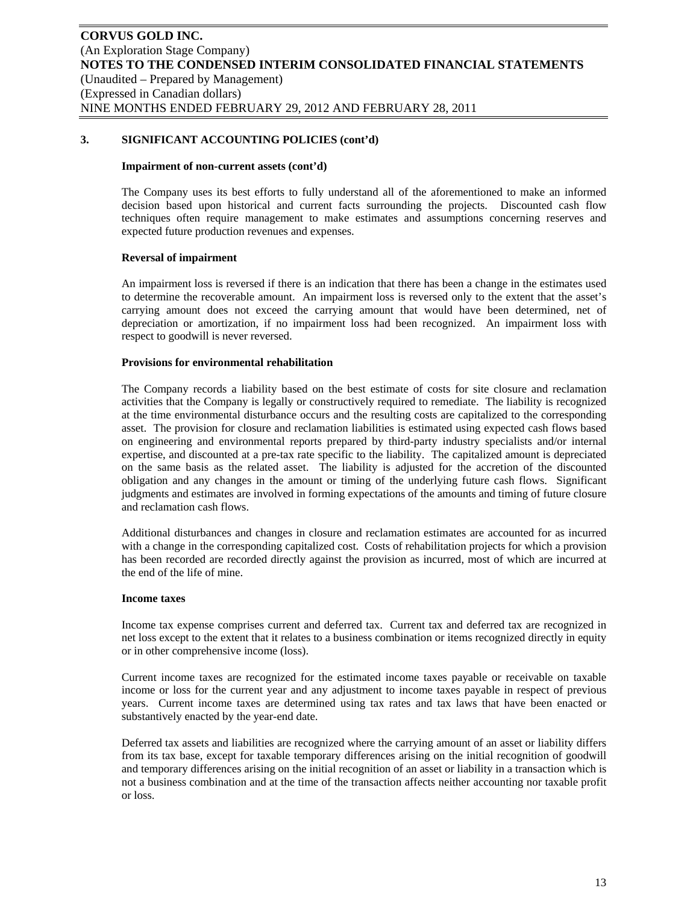### **Impairment of non-current assets (cont'd)**

The Company uses its best efforts to fully understand all of the aforementioned to make an informed decision based upon historical and current facts surrounding the projects. Discounted cash flow techniques often require management to make estimates and assumptions concerning reserves and expected future production revenues and expenses.

### **Reversal of impairment**

An impairment loss is reversed if there is an indication that there has been a change in the estimates used to determine the recoverable amount. An impairment loss is reversed only to the extent that the asset's carrying amount does not exceed the carrying amount that would have been determined, net of depreciation or amortization, if no impairment loss had been recognized. An impairment loss with respect to goodwill is never reversed.

#### **Provisions for environmental rehabilitation**

The Company records a liability based on the best estimate of costs for site closure and reclamation activities that the Company is legally or constructively required to remediate. The liability is recognized at the time environmental disturbance occurs and the resulting costs are capitalized to the corresponding asset. The provision for closure and reclamation liabilities is estimated using expected cash flows based on engineering and environmental reports prepared by third-party industry specialists and/or internal expertise, and discounted at a pre-tax rate specific to the liability. The capitalized amount is depreciated on the same basis as the related asset. The liability is adjusted for the accretion of the discounted obligation and any changes in the amount or timing of the underlying future cash flows. Significant judgments and estimates are involved in forming expectations of the amounts and timing of future closure and reclamation cash flows.

Additional disturbances and changes in closure and reclamation estimates are accounted for as incurred with a change in the corresponding capitalized cost. Costs of rehabilitation projects for which a provision has been recorded are recorded directly against the provision as incurred, most of which are incurred at the end of the life of mine.

#### **Income taxes**

Income tax expense comprises current and deferred tax. Current tax and deferred tax are recognized in net loss except to the extent that it relates to a business combination or items recognized directly in equity or in other comprehensive income (loss).

Current income taxes are recognized for the estimated income taxes payable or receivable on taxable income or loss for the current year and any adjustment to income taxes payable in respect of previous years. Current income taxes are determined using tax rates and tax laws that have been enacted or substantively enacted by the year-end date.

Deferred tax assets and liabilities are recognized where the carrying amount of an asset or liability differs from its tax base, except for taxable temporary differences arising on the initial recognition of goodwill and temporary differences arising on the initial recognition of an asset or liability in a transaction which is not a business combination and at the time of the transaction affects neither accounting nor taxable profit or loss.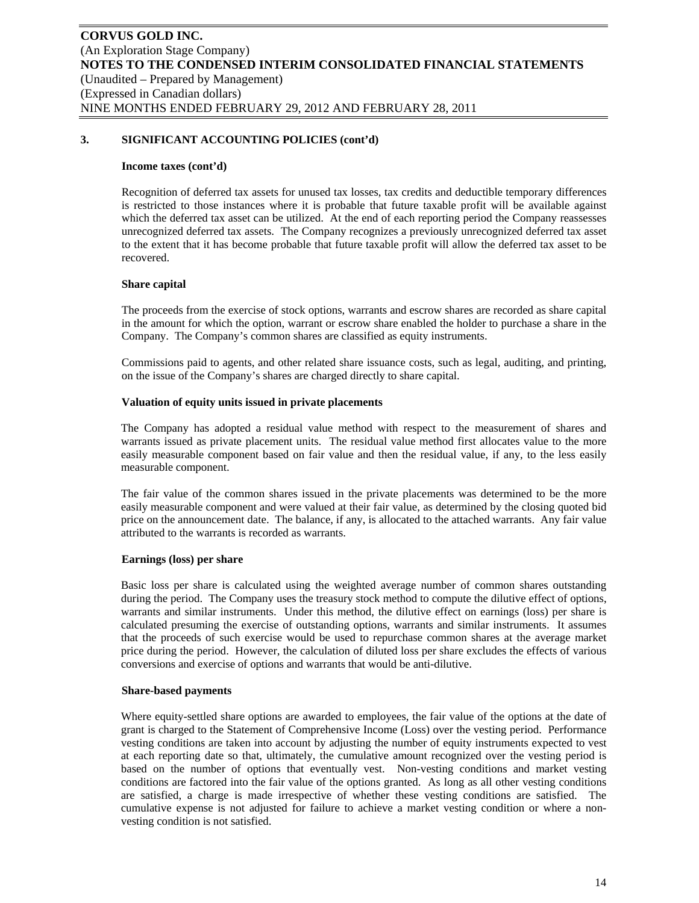#### **Income taxes (cont'd)**

Recognition of deferred tax assets for unused tax losses, tax credits and deductible temporary differences is restricted to those instances where it is probable that future taxable profit will be available against which the deferred tax asset can be utilized. At the end of each reporting period the Company reassesses unrecognized deferred tax assets. The Company recognizes a previously unrecognized deferred tax asset to the extent that it has become probable that future taxable profit will allow the deferred tax asset to be recovered.

#### **Share capital**

The proceeds from the exercise of stock options, warrants and escrow shares are recorded as share capital in the amount for which the option, warrant or escrow share enabled the holder to purchase a share in the Company. The Company's common shares are classified as equity instruments.

Commissions paid to agents, and other related share issuance costs, such as legal, auditing, and printing, on the issue of the Company's shares are charged directly to share capital.

#### **Valuation of equity units issued in private placements**

The Company has adopted a residual value method with respect to the measurement of shares and warrants issued as private placement units. The residual value method first allocates value to the more easily measurable component based on fair value and then the residual value, if any, to the less easily measurable component.

The fair value of the common shares issued in the private placements was determined to be the more easily measurable component and were valued at their fair value, as determined by the closing quoted bid price on the announcement date. The balance, if any, is allocated to the attached warrants. Any fair value attributed to the warrants is recorded as warrants.

#### **Earnings (loss) per share**

Basic loss per share is calculated using the weighted average number of common shares outstanding during the period. The Company uses the treasury stock method to compute the dilutive effect of options, warrants and similar instruments. Under this method, the dilutive effect on earnings (loss) per share is calculated presuming the exercise of outstanding options, warrants and similar instruments. It assumes that the proceeds of such exercise would be used to repurchase common shares at the average market price during the period. However, the calculation of diluted loss per share excludes the effects of various conversions and exercise of options and warrants that would be anti-dilutive.

#### **Share-based payments**

Where equity-settled share options are awarded to employees, the fair value of the options at the date of grant is charged to the Statement of Comprehensive Income (Loss) over the vesting period. Performance vesting conditions are taken into account by adjusting the number of equity instruments expected to vest at each reporting date so that, ultimately, the cumulative amount recognized over the vesting period is based on the number of options that eventually vest. Non-vesting conditions and market vesting conditions are factored into the fair value of the options granted. As long as all other vesting conditions are satisfied, a charge is made irrespective of whether these vesting conditions are satisfied. The cumulative expense is not adjusted for failure to achieve a market vesting condition or where a nonvesting condition is not satisfied.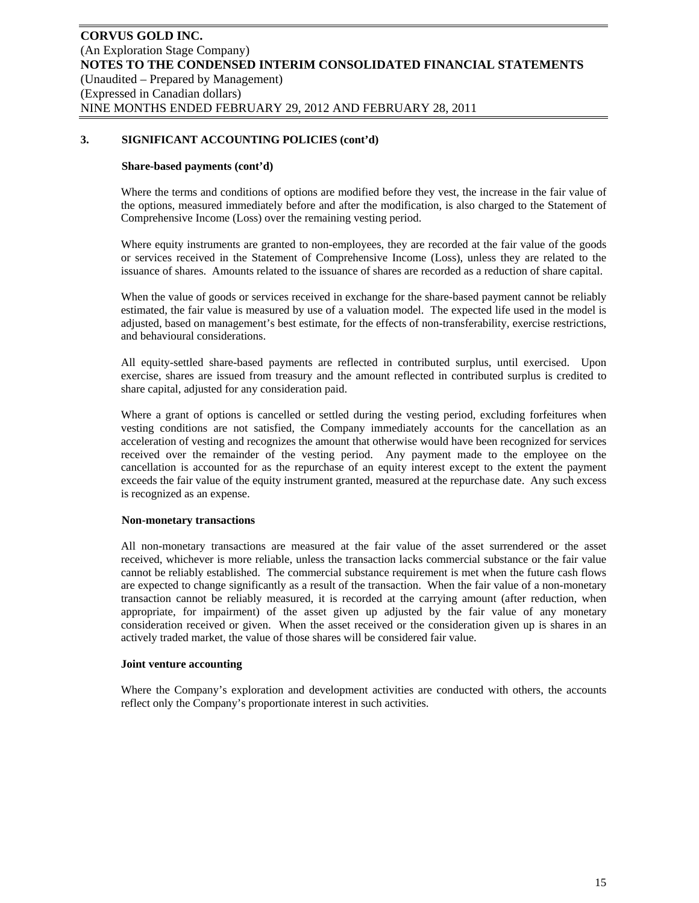#### **Share-based payments (cont'd)**

Where the terms and conditions of options are modified before they vest, the increase in the fair value of the options, measured immediately before and after the modification, is also charged to the Statement of Comprehensive Income (Loss) over the remaining vesting period.

Where equity instruments are granted to non-employees, they are recorded at the fair value of the goods or services received in the Statement of Comprehensive Income (Loss), unless they are related to the issuance of shares. Amounts related to the issuance of shares are recorded as a reduction of share capital.

When the value of goods or services received in exchange for the share-based payment cannot be reliably estimated, the fair value is measured by use of a valuation model. The expected life used in the model is adjusted, based on management's best estimate, for the effects of non-transferability, exercise restrictions, and behavioural considerations.

All equity-settled share-based payments are reflected in contributed surplus, until exercised. Upon exercise, shares are issued from treasury and the amount reflected in contributed surplus is credited to share capital, adjusted for any consideration paid.

Where a grant of options is cancelled or settled during the vesting period, excluding forfeitures when vesting conditions are not satisfied, the Company immediately accounts for the cancellation as an acceleration of vesting and recognizes the amount that otherwise would have been recognized for services received over the remainder of the vesting period. Any payment made to the employee on the cancellation is accounted for as the repurchase of an equity interest except to the extent the payment exceeds the fair value of the equity instrument granted, measured at the repurchase date. Any such excess is recognized as an expense.

#### **Non-monetary transactions**

All non-monetary transactions are measured at the fair value of the asset surrendered or the asset received, whichever is more reliable, unless the transaction lacks commercial substance or the fair value cannot be reliably established. The commercial substance requirement is met when the future cash flows are expected to change significantly as a result of the transaction. When the fair value of a non-monetary transaction cannot be reliably measured, it is recorded at the carrying amount (after reduction, when appropriate, for impairment) of the asset given up adjusted by the fair value of any monetary consideration received or given. When the asset received or the consideration given up is shares in an actively traded market, the value of those shares will be considered fair value.

#### **Joint venture accounting**

Where the Company's exploration and development activities are conducted with others, the accounts reflect only the Company's proportionate interest in such activities.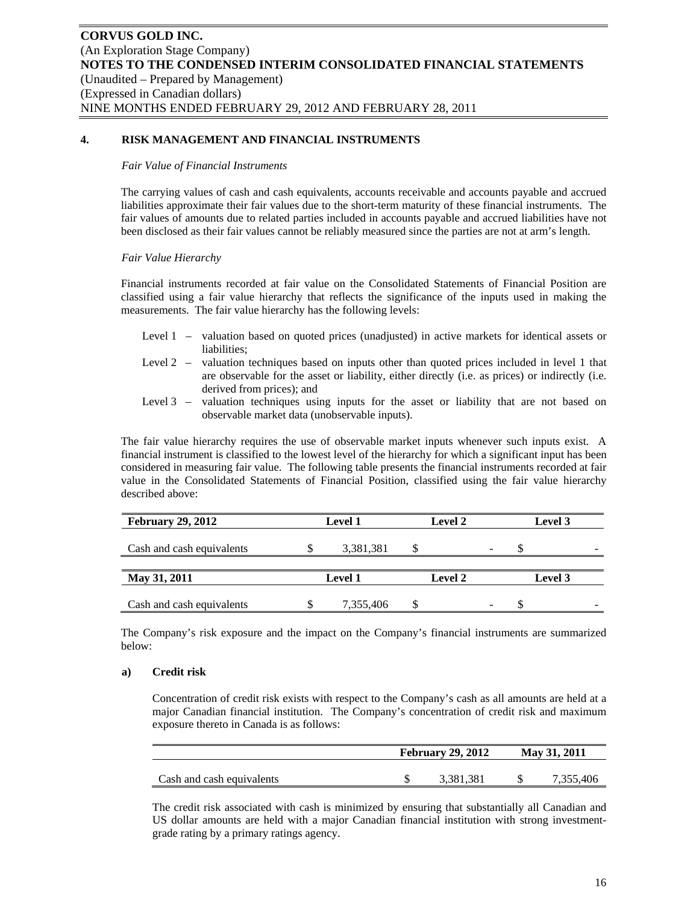# **4. RISK MANAGEMENT AND FINANCIAL INSTRUMENTS**

#### *Fair Value of Financial Instruments*

The carrying values of cash and cash equivalents, accounts receivable and accounts payable and accrued liabilities approximate their fair values due to the short-term maturity of these financial instruments. The fair values of amounts due to related parties included in accounts payable and accrued liabilities have not been disclosed as their fair values cannot be reliably measured since the parties are not at arm's length.

#### *Fair Value Hierarchy*

Financial instruments recorded at fair value on the Consolidated Statements of Financial Position are classified using a fair value hierarchy that reflects the significance of the inputs used in making the measurements. The fair value hierarchy has the following levels:

- Level 1 valuation based on quoted prices (unadjusted) in active markets for identical assets or liabilities;
- Level 2 valuation techniques based on inputs other than quoted prices included in level 1 that are observable for the asset or liability, either directly (i.e. as prices) or indirectly (i.e. derived from prices); and
- Level 3 valuation techniques using inputs for the asset or liability that are not based on observable market data (unobservable inputs).

The fair value hierarchy requires the use of observable market inputs whenever such inputs exist. A financial instrument is classified to the lowest level of the hierarchy for which a significant input has been considered in measuring fair value. The following table presents the financial instruments recorded at fair value in the Consolidated Statements of Financial Position, classified using the fair value hierarchy described above:

| <b>February 29, 2012</b>  | <b>Level 1</b> |  | <b>Level 2</b> |         | Level 3 |  |
|---------------------------|----------------|--|----------------|---------|---------|--|
| Cash and cash equivalents | 3,381,381      |  | -              |         |         |  |
|                           |                |  |                |         |         |  |
| May 31, 2011              | <b>Level 1</b> |  | <b>Level 2</b> | Level 3 |         |  |
| Cash and cash equivalents | 7,355,406      |  |                |         |         |  |

The Company's risk exposure and the impact on the Company's financial instruments are summarized below:

#### **a) Credit risk**

Concentration of credit risk exists with respect to the Company's cash as all amounts are held at a major Canadian financial institution. The Company's concentration of credit risk and maximum exposure thereto in Canada is as follows:

|                           | <b>February 29, 2012</b> | May 31, 2011 |           |  |  |
|---------------------------|--------------------------|--------------|-----------|--|--|
|                           |                          |              |           |  |  |
| Cash and cash equivalents | 3.381.381                |              | 7.355.406 |  |  |

The credit risk associated with cash is minimized by ensuring that substantially all Canadian and US dollar amounts are held with a major Canadian financial institution with strong investmentgrade rating by a primary ratings agency.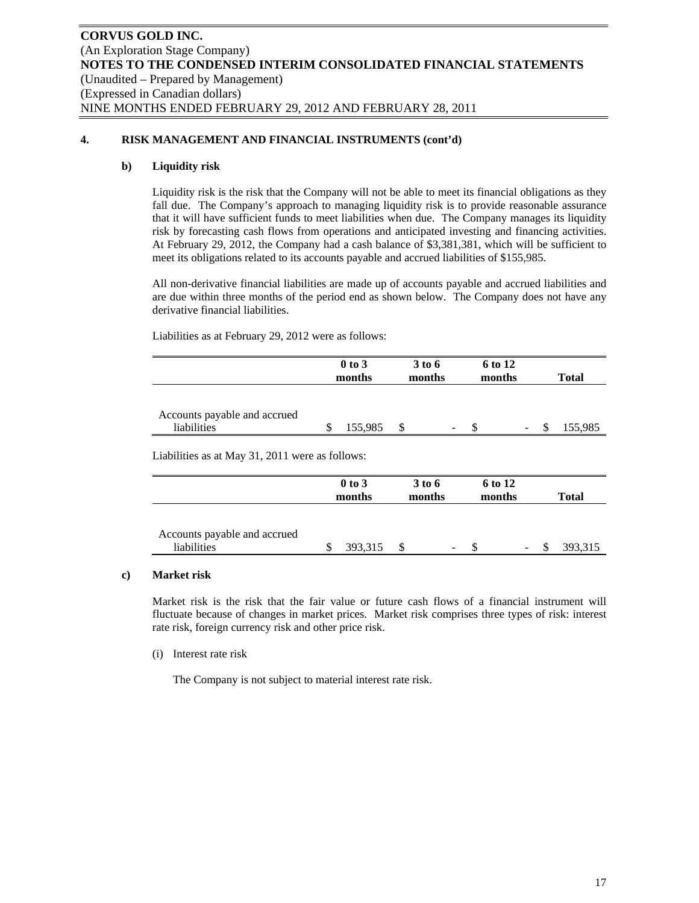# **4. RISK MANAGEMENT AND FINANCIAL INSTRUMENTS (cont'd)**

# **b) Liquidity risk**

Liquidity risk is the risk that the Company will not be able to meet its financial obligations as they fall due. The Company's approach to managing liquidity risk is to provide reasonable assurance that it will have sufficient funds to meet liabilities when due. The Company manages its liquidity risk by forecasting cash flows from operations and anticipated investing and financing activities. At February 29, 2012, the Company had a cash balance of \$3,381,381, which will be sufficient to meet its obligations related to its accounts payable and accrued liabilities of \$155,985.

All non-derivative financial liabilities are made up of accounts payable and accrued liabilities and are due within three months of the period end as shown below. The Company does not have any derivative financial liabilities.

Liabilities as at February 29, 2012 were as follows:

|                              | $0$ to $3$ | 3 to 6 |                          | 6 to 12 |        |              |
|------------------------------|------------|--------|--------------------------|---------|--------|--------------|
|                              | months     | months |                          | months  |        | <b>Total</b> |
|                              |            |        |                          |         |        |              |
|                              |            |        |                          |         |        |              |
| Accounts payable and accrued |            |        |                          |         |        |              |
| liabilities                  | 155,985    |        | $\overline{\phantom{a}}$ |         | $\sim$ | 155,985      |

Liabilities as at May 31, 2011 were as follows:

|                                             | $0$ to $3$<br>months | 3 to 6<br>months |                              |  |   |   |         |  |  | 6 to 12<br>months | <b>Total</b> |  |
|---------------------------------------------|----------------------|------------------|------------------------------|--|---|---|---------|--|--|-------------------|--------------|--|
| Accounts payable and accrued<br>liabilities | 393,315              |                  | $\qquad \qquad \blacksquare$ |  | - | S | 393,315 |  |  |                   |              |  |

# **c) Market risk**

Market risk is the risk that the fair value or future cash flows of a financial instrument will fluctuate because of changes in market prices. Market risk comprises three types of risk: interest rate risk, foreign currency risk and other price risk.

(i) Interest rate risk

The Company is not subject to material interest rate risk.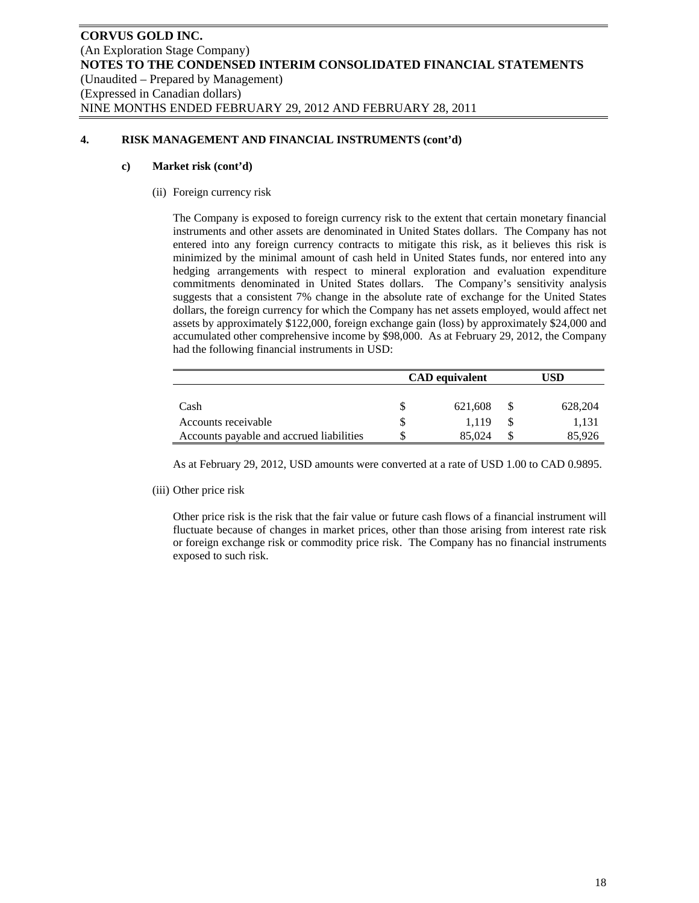# **4. RISK MANAGEMENT AND FINANCIAL INSTRUMENTS (cont'd)**

### **c) Market risk (cont'd)**

(ii) Foreign currency risk

The Company is exposed to foreign currency risk to the extent that certain monetary financial instruments and other assets are denominated in United States dollars. The Company has not entered into any foreign currency contracts to mitigate this risk, as it believes this risk is minimized by the minimal amount of cash held in United States funds, nor entered into any hedging arrangements with respect to mineral exploration and evaluation expenditure commitments denominated in United States dollars. The Company's sensitivity analysis suggests that a consistent 7% change in the absolute rate of exchange for the United States dollars, the foreign currency for which the Company has net assets employed, would affect net assets by approximately \$122,000, foreign exchange gain (loss) by approximately \$24,000 and accumulated other comprehensive income by \$98,000. As at February 29, 2012, the Company had the following financial instruments in USD:

|                                          | <b>CAD</b> equivalent |          | JSD     |  |  |
|------------------------------------------|-----------------------|----------|---------|--|--|
|                                          |                       |          |         |  |  |
| Cash                                     | 621,608               | <b>S</b> | 628.204 |  |  |
| Accounts receivable                      | 1.119                 |          | 1,131   |  |  |
| Accounts payable and accrued liabilities | 85,024                |          | 85.926  |  |  |

As at February 29, 2012, USD amounts were converted at a rate of USD 1.00 to CAD 0.9895.

(iii) Other price risk

Other price risk is the risk that the fair value or future cash flows of a financial instrument will fluctuate because of changes in market prices, other than those arising from interest rate risk or foreign exchange risk or commodity price risk. The Company has no financial instruments exposed to such risk.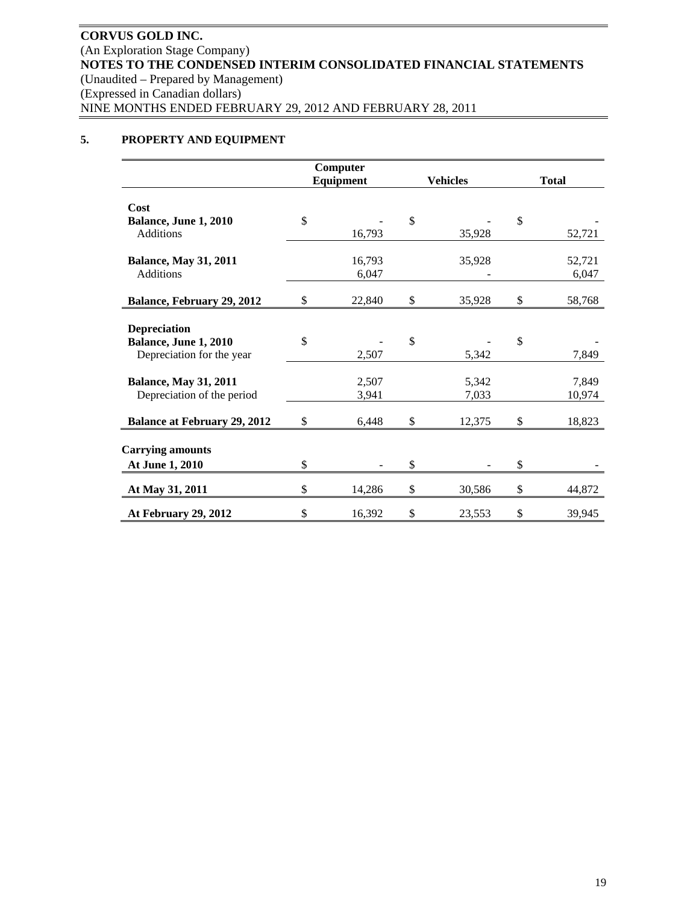# **5. PROPERTY AND EQUIPMENT**

|                                     | Computer     |                 |              |
|-------------------------------------|--------------|-----------------|--------------|
|                                     | Equipment    | <b>Vehicles</b> | <b>Total</b> |
|                                     |              |                 |              |
| Cost                                |              |                 |              |
| Balance, June 1, 2010               | \$           | \$              | \$           |
| Additions                           | 16,793       | 35,928          | 52,721       |
| <b>Balance, May 31, 2011</b>        | 16,793       | 35,928          | 52,721       |
| Additions                           | 6,047        |                 | 6,047        |
| Balance, February 29, 2012          | \$<br>22,840 | \$<br>35,928    | \$<br>58,768 |
|                                     |              |                 |              |
| <b>Depreciation</b>                 |              |                 |              |
| Balance, June 1, 2010               | \$           | \$              | \$           |
| Depreciation for the year           | 2,507        | 5,342           | 7,849        |
| <b>Balance, May 31, 2011</b>        | 2,507        | 5,342           | 7,849        |
| Depreciation of the period          | 3,941        | 7,033           | 10,974       |
|                                     |              |                 |              |
| <b>Balance at February 29, 2012</b> | \$<br>6,448  | \$<br>12,375    | \$<br>18,823 |
|                                     |              |                 |              |
| <b>Carrying amounts</b>             |              |                 |              |
| At June 1, 2010                     | \$           | \$              | \$           |
| At May 31, 2011                     | \$<br>14,286 | \$<br>30,586    | \$<br>44,872 |
| At February 29, 2012                | \$<br>16,392 | \$<br>23,553    | \$<br>39,945 |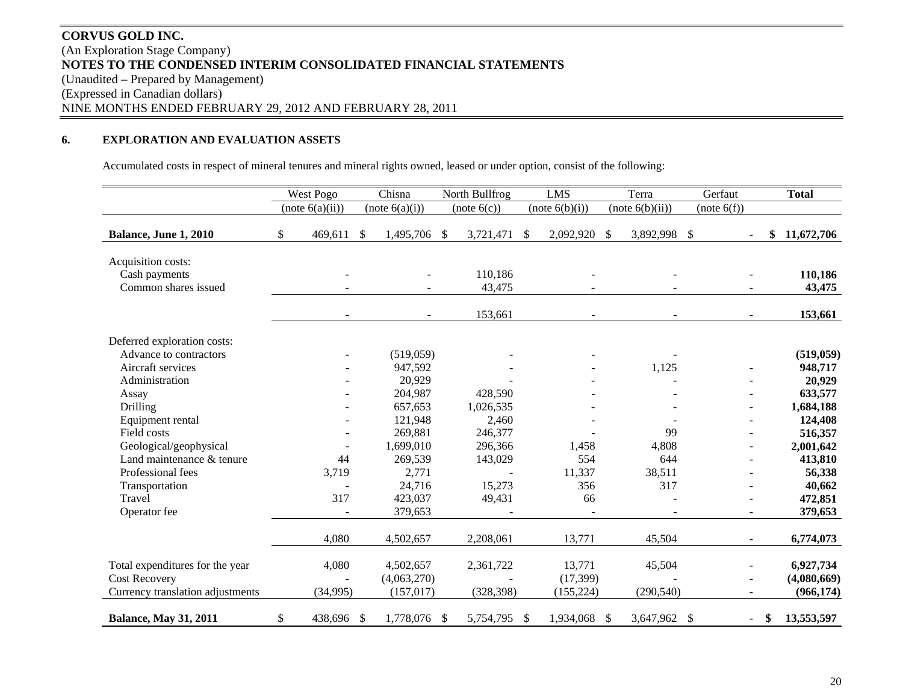# **CORVUS GOLD INC.** (An Exploration Stage Company) **NOTES TO THE CONDENSED INTERIM CONSOLIDATED FINANCIAL STATEMENTS**  (Unaudited – Prepared by Management) (Expressed in Canadian dollars) NINE MONTHS ENDED FEBRUARY 29, 2012 AND FEBRUARY 28, 2011

#### **6.EXPLORATION AND EVALUATION ASSETS**

Accumulated costs in respect of mineral tenures and mineral rights owned, leased or under option, consist of the following:

|                                                             | West Pogo        |               | Chisna         | North Bullfrog    | <b>LMS</b>      |      | Terra           |               | Gerfaut                  | <b>Total</b>      |
|-------------------------------------------------------------|------------------|---------------|----------------|-------------------|-----------------|------|-----------------|---------------|--------------------------|-------------------|
|                                                             | (note 6(a)(ii))  |               | (note 6(a)(i)) | (note 6(c))       | (note 6(b)(i))  |      | (note 6(b)(ii)) |               | (note 6(f))              |                   |
| Balance, June 1, 2010                                       | \$<br>469,611    | $\mathcal{S}$ | 1,495,706 \$   | 3,721,471         | \$<br>2,092,920 | \$   | 3,892,998       | $\mathcal{S}$ |                          | \$<br>11,672,706  |
| Acquisition costs:<br>Cash payments<br>Common shares issued |                  |               |                | 110,186<br>43,475 |                 |      |                 |               |                          | 110,186<br>43,475 |
|                                                             |                  |               |                | 153,661           |                 |      |                 |               |                          | 153,661           |
| Deferred exploration costs:                                 |                  |               |                |                   |                 |      |                 |               |                          |                   |
| Advance to contractors                                      |                  |               | (519,059)      |                   |                 |      |                 |               |                          | (519, 059)        |
| Aircraft services                                           |                  |               | 947,592        |                   |                 |      | 1,125           |               |                          | 948,717           |
| Administration                                              |                  |               | 20,929         |                   |                 |      |                 |               |                          | 20,929            |
| Assay                                                       |                  |               | 204,987        | 428,590           |                 |      |                 |               |                          | 633,577           |
| Drilling                                                    |                  |               | 657,653        | 1,026,535         |                 |      |                 |               | ÷                        | 1,684,188         |
| Equipment rental                                            |                  |               | 121,948        | 2,460             |                 |      |                 |               |                          | 124,408           |
| Field costs                                                 |                  |               | 269,881        | 246,377           |                 |      | 99              |               |                          | 516,357           |
| Geological/geophysical                                      |                  |               | 1,699,010      | 296,366           | 1,458           |      | 4,808           |               |                          | 2,001,642         |
| Land maintenance & tenure                                   | 44               |               | 269,539        | 143,029           | 554             |      | 644             |               |                          | 413,810           |
| Professional fees                                           | 3,719            |               | 2,771          |                   | 11,337          |      | 38,511          |               |                          | 56,338            |
| Transportation                                              |                  |               | 24,716         | 15,273            | 356             |      | 317             |               |                          | 40,662            |
| Travel                                                      | 317              |               | 423,037        | 49,431            | 66              |      |                 |               |                          | 472,851           |
| Operator fee                                                |                  |               | 379,653        |                   |                 |      |                 |               | $\overline{\phantom{a}}$ | 379,653           |
|                                                             | 4,080            |               | 4,502,657      | 2,208,061         | 13,771          |      | 45,504          |               | $\overline{\phantom{a}}$ | 6,774,073         |
| Total expenditures for the year                             | 4,080            |               | 4,502,657      | 2,361,722         | 13,771          |      | 45,504          |               |                          | 6,927,734         |
| <b>Cost Recovery</b>                                        |                  |               | (4,063,270)    |                   | (17, 399)       |      |                 |               |                          | (4,080,669)       |
| Currency translation adjustments                            | (34,995)         |               | (157, 017)     | (328, 398)        | (155, 224)      |      | (290, 540)      |               |                          | (966, 174)        |
| <b>Balance, May 31, 2011</b>                                | \$<br>438,696 \$ |               | 1,778,076 \$   | 5,754,795 \$      | 1,934,068       | - \$ | 3,647,962 \$    |               | $\overline{\phantom{a}}$ | \$<br>13,553,597  |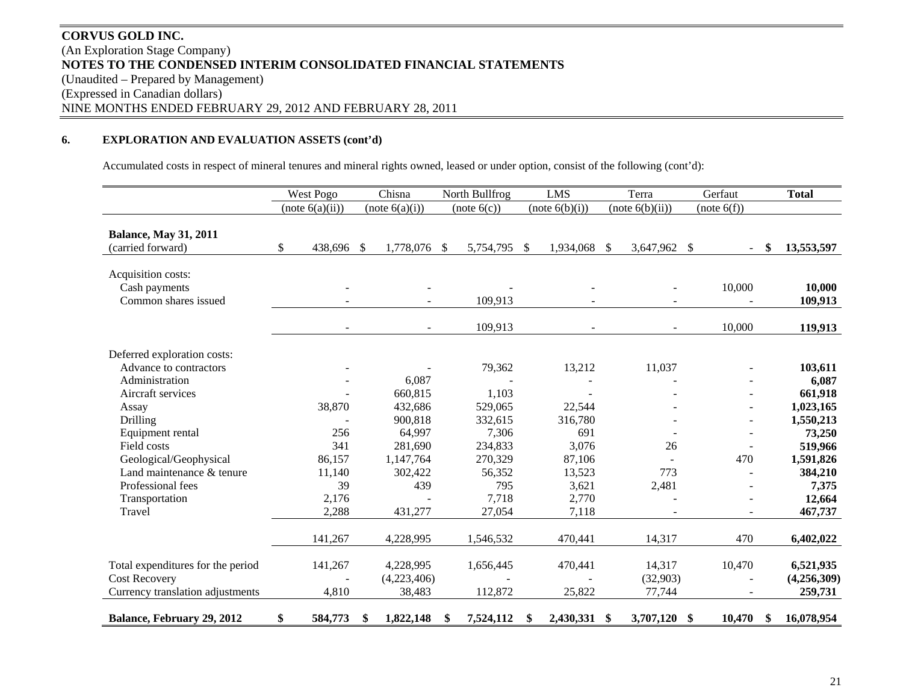# **CORVUS GOLD INC.** (An Exploration Stage Company) **NOTES TO THE CONDENSED INTERIM CONSOLIDATED FINANCIAL STATEMENTS**  (Unaudited – Prepared by Management) (Expressed in Canadian dollars) NINE MONTHS ENDED FEBRUARY 29, 2012 AND FEBRUARY 28, 2011

# **6. EXPLORATION AND EVALUATION ASSETS (cont'd)**

Accumulated costs in respect of mineral tenures and mineral rights owned, leased or under option, consist of the following (cont'd):

|                                                             | West Pogo        | Chisna                   |   | North Bullfrog   |               | <b>LMS</b>     |    | Terra           |               | Gerfaut     | <b>Total</b>         |
|-------------------------------------------------------------|------------------|--------------------------|---|------------------|---------------|----------------|----|-----------------|---------------|-------------|----------------------|
|                                                             | (note 6(a)(ii))  | (note 6(a)(i))           |   | (note 6(c))      |               | (note 6(b)(i)) |    | (note 6(b)(ii)) |               | (note 6(f)) |                      |
| <b>Balance, May 31, 2011</b><br>(carried forward)           | \$<br>438,696 \$ | 1,778,076 \$             |   | 5,754,795        | $\mathcal{S}$ | 1,934,068      | \$ | 3,647,962       | \$            |             | \$<br>13,553,597     |
| Acquisition costs:<br>Cash payments<br>Common shares issued |                  |                          |   | 109,913          |               |                |    |                 |               | 10,000      | 10,000<br>109,913    |
| Deferred exploration costs:                                 | $\blacksquare$   | $\overline{\phantom{a}}$ |   | 109,913          |               |                |    |                 |               | 10,000      | 119,913              |
| Advance to contractors                                      |                  |                          |   | 79,362           |               | 13,212         |    | 11,037          |               |             | 103,611              |
| Administration<br>Aircraft services                         |                  | 6,087<br>660,815         |   |                  |               |                |    |                 |               |             | 6,087                |
| Assay                                                       | 38,870           | 432,686                  |   | 1,103<br>529,065 |               | 22,544         |    |                 |               |             | 661,918<br>1,023,165 |
| Drilling                                                    |                  | 900,818                  |   | 332,615          |               | 316,780        |    |                 |               |             | 1,550,213            |
| Equipment rental                                            | 256              | 64,997                   |   | 7,306            |               | 691            |    |                 |               |             | 73,250               |
| Field costs                                                 | 341              | 281,690                  |   | 234,833          |               | 3,076          |    | 26              |               |             | 519,966              |
| Geological/Geophysical                                      | 86,157           | 1,147,764                |   | 270,329          |               | 87,106         |    |                 |               | 470         | 1,591,826            |
| Land maintenance & tenure                                   | 11,140           | 302,422                  |   | 56,352           |               | 13,523         |    | 773             |               |             | 384,210              |
| Professional fees                                           | 39               | 439                      |   | 795              |               | 3,621          |    | 2,481           |               |             | 7,375                |
| Transportation                                              | 2,176            |                          |   | 7,718            |               | 2,770          |    |                 |               |             | 12,664               |
| Travel                                                      | 2,288            | 431,277                  |   | 27,054           |               | 7,118          |    |                 |               |             | 467,737              |
|                                                             | 141,267          | 4,228,995                |   | 1,546,532        |               | 470,441        |    | 14,317          |               | 470         | 6,402,022            |
| Total expenditures for the period                           | 141,267          | 4,228,995                |   | 1,656,445        |               | 470,441        |    | 14,317          |               | 10,470      | 6,521,935            |
| <b>Cost Recovery</b>                                        |                  | (4,223,406)              |   |                  |               |                |    | (32,903)        |               |             | (4,256,309)          |
| Currency translation adjustments                            | 4,810            | 38,483                   |   | 112,872          |               | 25,822         |    | 77,744          |               |             | 259,731              |
| Balance, February 29, 2012                                  | \$<br>584,773    | \$<br>1,822,148          | S | 7,524,112        | S             | 2,430,331      | -S | 3,707,120       | <sup>\$</sup> | 10,470      | \$<br>16,078,954     |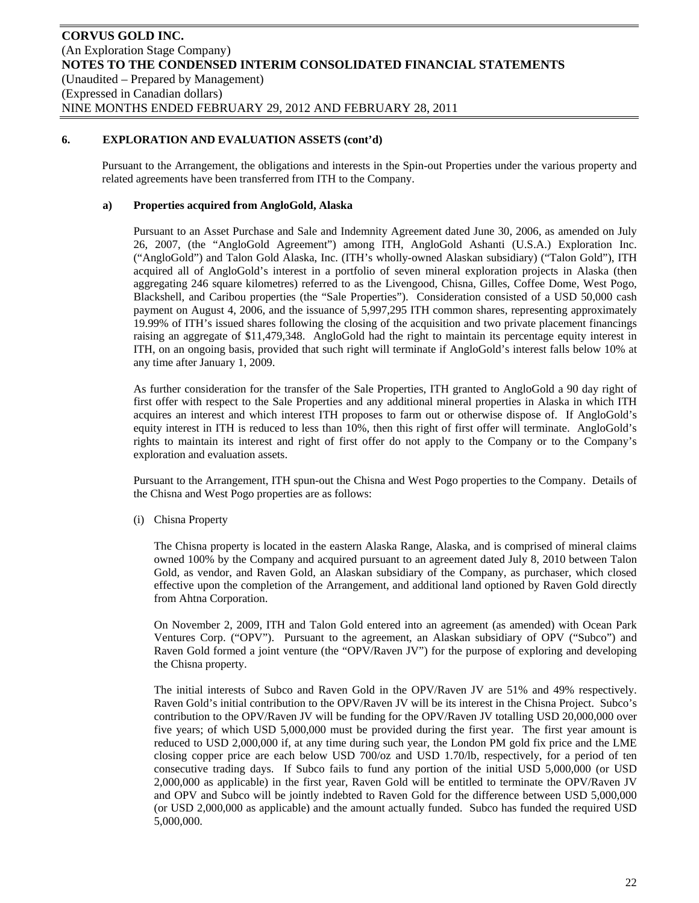Pursuant to the Arrangement, the obligations and interests in the Spin-out Properties under the various property and related agreements have been transferred from ITH to the Company.

### **a) Properties acquired from AngloGold, Alaska**

Pursuant to an Asset Purchase and Sale and Indemnity Agreement dated June 30, 2006, as amended on July 26, 2007, (the "AngloGold Agreement") among ITH, AngloGold Ashanti (U.S.A.) Exploration Inc. ("AngloGold") and Talon Gold Alaska, Inc. (ITH's wholly-owned Alaskan subsidiary) ("Talon Gold"), ITH acquired all of AngloGold's interest in a portfolio of seven mineral exploration projects in Alaska (then aggregating 246 square kilometres) referred to as the Livengood, Chisna, Gilles, Coffee Dome, West Pogo, Blackshell, and Caribou properties (the "Sale Properties"). Consideration consisted of a USD 50,000 cash payment on August 4, 2006, and the issuance of 5,997,295 ITH common shares, representing approximately 19.99% of ITH's issued shares following the closing of the acquisition and two private placement financings raising an aggregate of \$11,479,348. AngloGold had the right to maintain its percentage equity interest in ITH, on an ongoing basis, provided that such right will terminate if AngloGold's interest falls below 10% at any time after January 1, 2009.

As further consideration for the transfer of the Sale Properties, ITH granted to AngloGold a 90 day right of first offer with respect to the Sale Properties and any additional mineral properties in Alaska in which ITH acquires an interest and which interest ITH proposes to farm out or otherwise dispose of. If AngloGold's equity interest in ITH is reduced to less than 10%, then this right of first offer will terminate. AngloGold's rights to maintain its interest and right of first offer do not apply to the Company or to the Company's exploration and evaluation assets.

Pursuant to the Arrangement, ITH spun-out the Chisna and West Pogo properties to the Company. Details of the Chisna and West Pogo properties are as follows:

(i) Chisna Property

The Chisna property is located in the eastern Alaska Range, Alaska, and is comprised of mineral claims owned 100% by the Company and acquired pursuant to an agreement dated July 8, 2010 between Talon Gold, as vendor, and Raven Gold, an Alaskan subsidiary of the Company, as purchaser, which closed effective upon the completion of the Arrangement, and additional land optioned by Raven Gold directly from Ahtna Corporation.

On November 2, 2009, ITH and Talon Gold entered into an agreement (as amended) with Ocean Park Ventures Corp. ("OPV"). Pursuant to the agreement, an Alaskan subsidiary of OPV ("Subco") and Raven Gold formed a joint venture (the "OPV/Raven JV") for the purpose of exploring and developing the Chisna property.

The initial interests of Subco and Raven Gold in the OPV/Raven JV are 51% and 49% respectively. Raven Gold's initial contribution to the OPV/Raven JV will be its interest in the Chisna Project. Subco's contribution to the OPV/Raven JV will be funding for the OPV/Raven JV totalling USD 20,000,000 over five years; of which USD 5,000,000 must be provided during the first year. The first year amount is reduced to USD 2,000,000 if, at any time during such year, the London PM gold fix price and the LME closing copper price are each below USD 700/oz and USD 1.70/lb, respectively, for a period of ten consecutive trading days. If Subco fails to fund any portion of the initial USD 5,000,000 (or USD 2,000,000 as applicable) in the first year, Raven Gold will be entitled to terminate the OPV/Raven JV and OPV and Subco will be jointly indebted to Raven Gold for the difference between USD 5,000,000 (or USD 2,000,000 as applicable) and the amount actually funded. Subco has funded the required USD 5,000,000.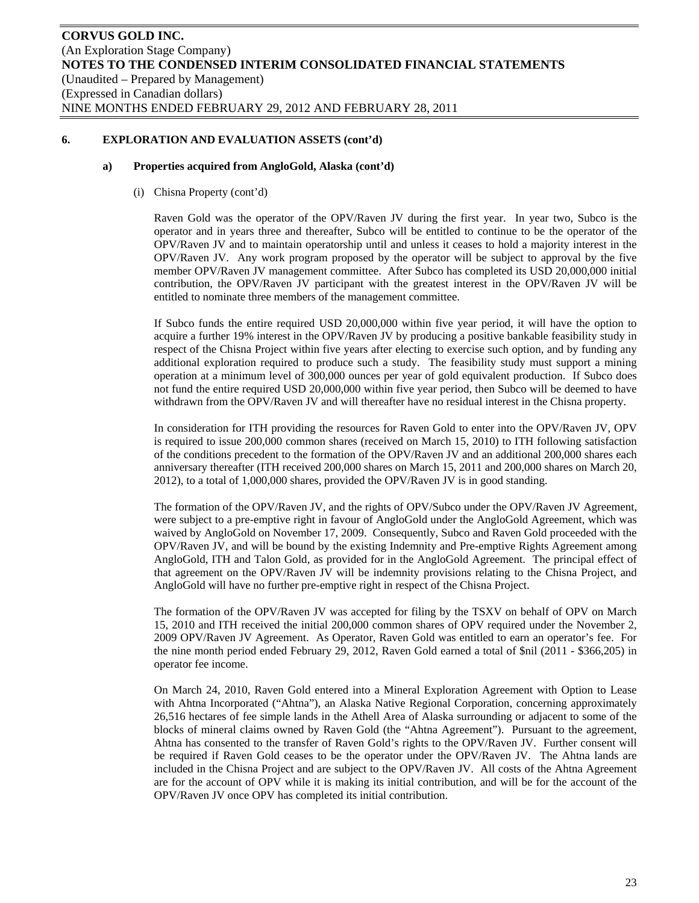#### **a) Properties acquired from AngloGold, Alaska (cont'd)**

(i) Chisna Property (cont'd)

Raven Gold was the operator of the OPV/Raven JV during the first year. In year two, Subco is the operator and in years three and thereafter, Subco will be entitled to continue to be the operator of the OPV/Raven JV and to maintain operatorship until and unless it ceases to hold a majority interest in the OPV/Raven JV. Any work program proposed by the operator will be subject to approval by the five member OPV/Raven JV management committee. After Subco has completed its USD 20,000,000 initial contribution, the OPV/Raven JV participant with the greatest interest in the OPV/Raven JV will be entitled to nominate three members of the management committee.

If Subco funds the entire required USD 20,000,000 within five year period, it will have the option to acquire a further 19% interest in the OPV/Raven JV by producing a positive bankable feasibility study in respect of the Chisna Project within five years after electing to exercise such option, and by funding any additional exploration required to produce such a study. The feasibility study must support a mining operation at a minimum level of 300,000 ounces per year of gold equivalent production. If Subco does not fund the entire required USD 20,000,000 within five year period, then Subco will be deemed to have withdrawn from the OPV/Raven JV and will thereafter have no residual interest in the Chisna property.

In consideration for ITH providing the resources for Raven Gold to enter into the OPV/Raven JV, OPV is required to issue 200,000 common shares (received on March 15, 2010) to ITH following satisfaction of the conditions precedent to the formation of the OPV/Raven JV and an additional 200,000 shares each anniversary thereafter (ITH received 200,000 shares on March 15, 2011 and 200,000 shares on March 20, 2012), to a total of 1,000,000 shares, provided the OPV/Raven JV is in good standing.

The formation of the OPV/Raven JV, and the rights of OPV/Subco under the OPV/Raven JV Agreement, were subject to a pre-emptive right in favour of AngloGold under the AngloGold Agreement, which was waived by AngloGold on November 17, 2009. Consequently, Subco and Raven Gold proceeded with the OPV/Raven JV, and will be bound by the existing Indemnity and Pre-emptive Rights Agreement among AngloGold, ITH and Talon Gold, as provided for in the AngloGold Agreement. The principal effect of that agreement on the OPV/Raven JV will be indemnity provisions relating to the Chisna Project, and AngloGold will have no further pre-emptive right in respect of the Chisna Project.

The formation of the OPV/Raven JV was accepted for filing by the TSXV on behalf of OPV on March 15, 2010 and ITH received the initial 200,000 common shares of OPV required under the November 2, 2009 OPV/Raven JV Agreement. As Operator, Raven Gold was entitled to earn an operator's fee. For the nine month period ended February 29, 2012, Raven Gold earned a total of \$nil (2011 - \$366,205) in operator fee income.

On March 24, 2010, Raven Gold entered into a Mineral Exploration Agreement with Option to Lease with Ahtna Incorporated ("Ahtna"), an Alaska Native Regional Corporation, concerning approximately 26,516 hectares of fee simple lands in the Athell Area of Alaska surrounding or adjacent to some of the blocks of mineral claims owned by Raven Gold (the "Ahtna Agreement"). Pursuant to the agreement, Ahtna has consented to the transfer of Raven Gold's rights to the OPV/Raven JV. Further consent will be required if Raven Gold ceases to be the operator under the OPV/Raven JV. The Ahtna lands are included in the Chisna Project and are subject to the OPV/Raven JV. All costs of the Ahtna Agreement are for the account of OPV while it is making its initial contribution, and will be for the account of the OPV/Raven JV once OPV has completed its initial contribution.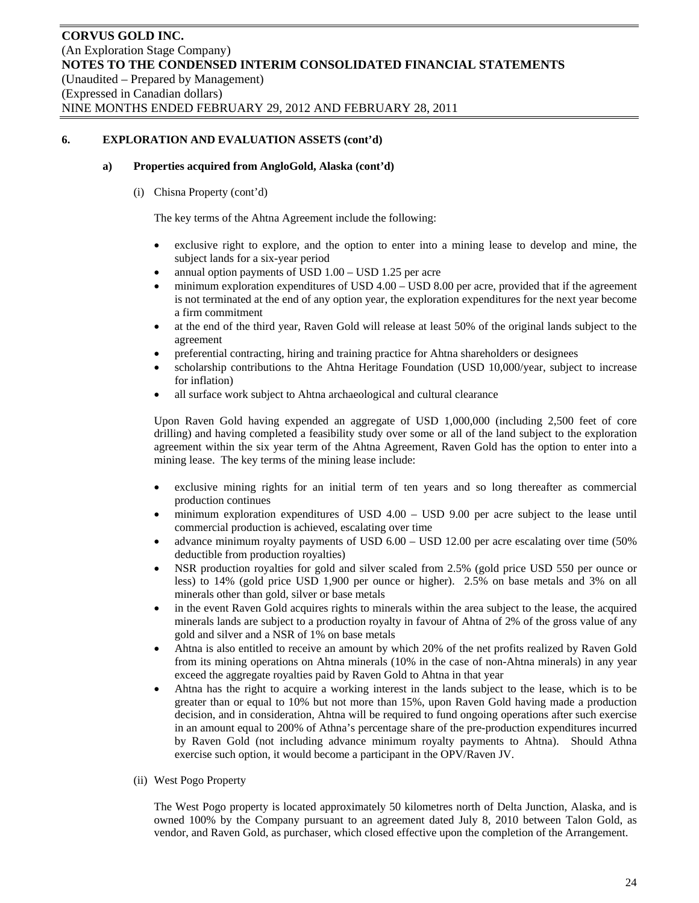#### **a) Properties acquired from AngloGold, Alaska (cont'd)**

(i) Chisna Property (cont'd)

The key terms of the Ahtna Agreement include the following:

- exclusive right to explore, and the option to enter into a mining lease to develop and mine, the subject lands for a six-year period
- annual option payments of USD 1.00 USD 1.25 per acre
- minimum exploration expenditures of USD 4.00 USD 8.00 per acre, provided that if the agreement is not terminated at the end of any option year, the exploration expenditures for the next year become a firm commitment
- at the end of the third year, Raven Gold will release at least 50% of the original lands subject to the agreement
- preferential contracting, hiring and training practice for Ahtna shareholders or designees
- scholarship contributions to the Ahtna Heritage Foundation (USD 10,000/year, subject to increase for inflation)
- all surface work subject to Ahtna archaeological and cultural clearance

Upon Raven Gold having expended an aggregate of USD 1,000,000 (including 2,500 feet of core drilling) and having completed a feasibility study over some or all of the land subject to the exploration agreement within the six year term of the Ahtna Agreement, Raven Gold has the option to enter into a mining lease. The key terms of the mining lease include:

- exclusive mining rights for an initial term of ten years and so long thereafter as commercial production continues
- minimum exploration expenditures of USD 4.00 USD 9.00 per acre subject to the lease until commercial production is achieved, escalating over time
- advance minimum royalty payments of USD 6.00 USD 12.00 per acre escalating over time (50% deductible from production royalties)
- NSR production royalties for gold and silver scaled from 2.5% (gold price USD 550 per ounce or less) to 14% (gold price USD 1,900 per ounce or higher). 2.5% on base metals and 3% on all minerals other than gold, silver or base metals
- in the event Raven Gold acquires rights to minerals within the area subject to the lease, the acquired minerals lands are subject to a production royalty in favour of Ahtna of 2% of the gross value of any gold and silver and a NSR of 1% on base metals
- Ahtna is also entitled to receive an amount by which 20% of the net profits realized by Raven Gold from its mining operations on Ahtna minerals (10% in the case of non-Ahtna minerals) in any year exceed the aggregate royalties paid by Raven Gold to Ahtna in that year
- Ahtna has the right to acquire a working interest in the lands subject to the lease, which is to be greater than or equal to 10% but not more than 15%, upon Raven Gold having made a production decision, and in consideration, Ahtna will be required to fund ongoing operations after such exercise in an amount equal to 200% of Athna's percentage share of the pre-production expenditures incurred by Raven Gold (not including advance minimum royalty payments to Ahtna). Should Athna exercise such option, it would become a participant in the OPV/Raven JV.
- (ii) West Pogo Property

The West Pogo property is located approximately 50 kilometres north of Delta Junction, Alaska, and is owned 100% by the Company pursuant to an agreement dated July 8, 2010 between Talon Gold, as vendor, and Raven Gold, as purchaser, which closed effective upon the completion of the Arrangement.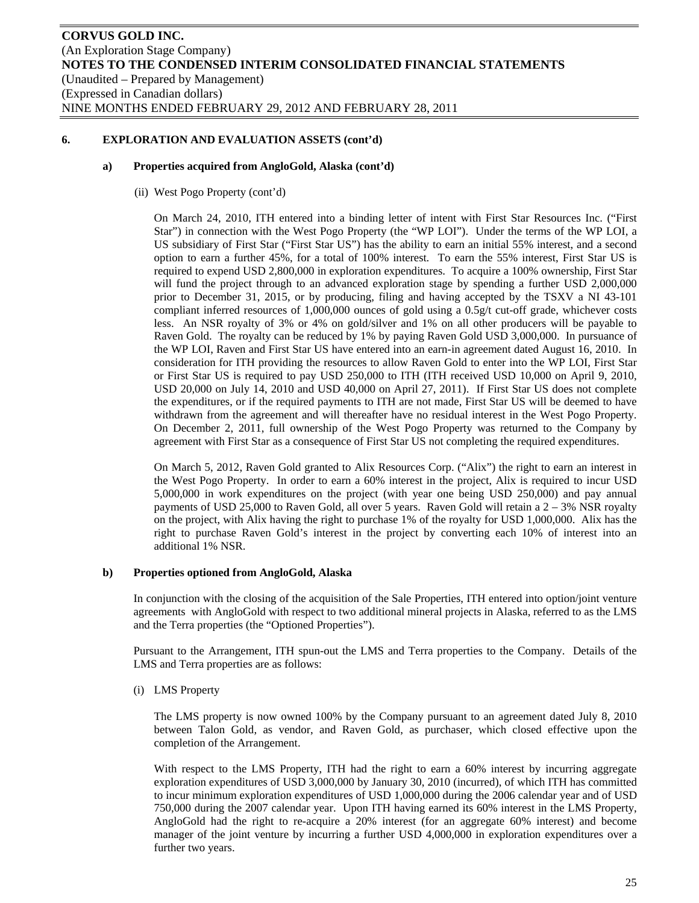#### **a) Properties acquired from AngloGold, Alaska (cont'd)**

(ii) West Pogo Property (cont'd)

On March 24, 2010, ITH entered into a binding letter of intent with First Star Resources Inc. ("First Star") in connection with the West Pogo Property (the "WP LOI"). Under the terms of the WP LOI, a US subsidiary of First Star ("First Star US") has the ability to earn an initial 55% interest, and a second option to earn a further 45%, for a total of 100% interest. To earn the 55% interest, First Star US is required to expend USD 2,800,000 in exploration expenditures. To acquire a 100% ownership, First Star will fund the project through to an advanced exploration stage by spending a further USD 2,000,000 prior to December 31, 2015, or by producing, filing and having accepted by the TSXV a NI 43-101 compliant inferred resources of 1,000,000 ounces of gold using a 0.5g/t cut-off grade, whichever costs less. An NSR royalty of 3% or 4% on gold/silver and 1% on all other producers will be payable to Raven Gold. The royalty can be reduced by 1% by paying Raven Gold USD 3,000,000. In pursuance of the WP LOI, Raven and First Star US have entered into an earn-in agreement dated August 16, 2010. In consideration for ITH providing the resources to allow Raven Gold to enter into the WP LOI, First Star or First Star US is required to pay USD 250,000 to ITH (ITH received USD 10,000 on April 9, 2010, USD 20,000 on July 14, 2010 and USD 40,000 on April 27, 2011). If First Star US does not complete the expenditures, or if the required payments to ITH are not made, First Star US will be deemed to have withdrawn from the agreement and will thereafter have no residual interest in the West Pogo Property. On December 2, 2011, full ownership of the West Pogo Property was returned to the Company by agreement with First Star as a consequence of First Star US not completing the required expenditures.

On March 5, 2012, Raven Gold granted to Alix Resources Corp. ("Alix") the right to earn an interest in the West Pogo Property. In order to earn a 60% interest in the project, Alix is required to incur USD 5,000,000 in work expenditures on the project (with year one being USD 250,000) and pay annual payments of USD 25,000 to Raven Gold, all over 5 years. Raven Gold will retain a 2 – 3% NSR royalty on the project, with Alix having the right to purchase 1% of the royalty for USD 1,000,000. Alix has the right to purchase Raven Gold's interest in the project by converting each 10% of interest into an additional 1% NSR.

#### **b) Properties optioned from AngloGold, Alaska**

In conjunction with the closing of the acquisition of the Sale Properties, ITH entered into option/joint venture agreements with AngloGold with respect to two additional mineral projects in Alaska, referred to as the LMS and the Terra properties (the "Optioned Properties").

Pursuant to the Arrangement, ITH spun-out the LMS and Terra properties to the Company. Details of the LMS and Terra properties are as follows:

(i) LMS Property

The LMS property is now owned 100% by the Company pursuant to an agreement dated July 8, 2010 between Talon Gold, as vendor, and Raven Gold, as purchaser, which closed effective upon the completion of the Arrangement.

With respect to the LMS Property, ITH had the right to earn a 60% interest by incurring aggregate exploration expenditures of USD 3,000,000 by January 30, 2010 (incurred), of which ITH has committed to incur minimum exploration expenditures of USD 1,000,000 during the 2006 calendar year and of USD 750,000 during the 2007 calendar year. Upon ITH having earned its 60% interest in the LMS Property, AngloGold had the right to re-acquire a 20% interest (for an aggregate 60% interest) and become manager of the joint venture by incurring a further USD 4,000,000 in exploration expenditures over a further two years.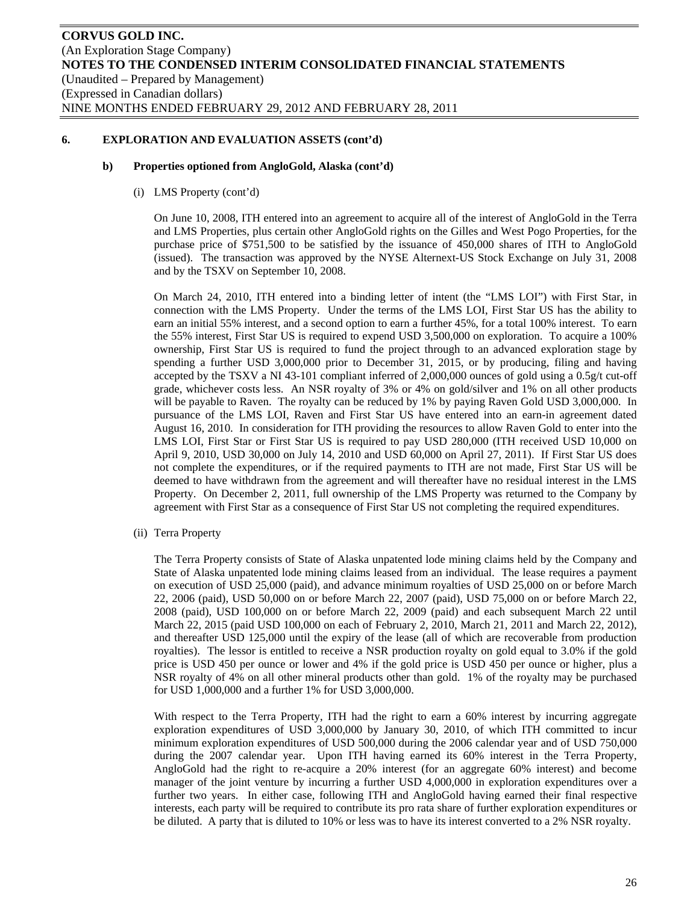#### **b) Properties optioned from AngloGold, Alaska (cont'd)**

(i) LMS Property (cont'd)

On June 10, 2008, ITH entered into an agreement to acquire all of the interest of AngloGold in the Terra and LMS Properties, plus certain other AngloGold rights on the Gilles and West Pogo Properties, for the purchase price of \$751,500 to be satisfied by the issuance of 450,000 shares of ITH to AngloGold (issued). The transaction was approved by the NYSE Alternext-US Stock Exchange on July 31, 2008 and by the TSXV on September 10, 2008.

On March 24, 2010, ITH entered into a binding letter of intent (the "LMS LOI") with First Star, in connection with the LMS Property. Under the terms of the LMS LOI, First Star US has the ability to earn an initial 55% interest, and a second option to earn a further 45%, for a total 100% interest. To earn the 55% interest, First Star US is required to expend USD 3,500,000 on exploration. To acquire a 100% ownership, First Star US is required to fund the project through to an advanced exploration stage by spending a further USD 3,000,000 prior to December 31, 2015, or by producing, filing and having accepted by the TSXV a NI 43-101 compliant inferred of 2,000,000 ounces of gold using a 0.5g/t cut-off grade, whichever costs less. An NSR royalty of 3% or 4% on gold/silver and 1% on all other products will be payable to Raven. The royalty can be reduced by 1% by paying Raven Gold USD 3,000,000. In pursuance of the LMS LOI, Raven and First Star US have entered into an earn-in agreement dated August 16, 2010. In consideration for ITH providing the resources to allow Raven Gold to enter into the LMS LOI, First Star or First Star US is required to pay USD 280,000 (ITH received USD 10,000 on April 9, 2010, USD 30,000 on July 14, 2010 and USD 60,000 on April 27, 2011). If First Star US does not complete the expenditures, or if the required payments to ITH are not made, First Star US will be deemed to have withdrawn from the agreement and will thereafter have no residual interest in the LMS Property. On December 2, 2011, full ownership of the LMS Property was returned to the Company by agreement with First Star as a consequence of First Star US not completing the required expenditures.

(ii) Terra Property

The Terra Property consists of State of Alaska unpatented lode mining claims held by the Company and State of Alaska unpatented lode mining claims leased from an individual. The lease requires a payment on execution of USD 25,000 (paid), and advance minimum royalties of USD 25,000 on or before March 22, 2006 (paid), USD 50,000 on or before March 22, 2007 (paid), USD 75,000 on or before March 22, 2008 (paid), USD 100,000 on or before March 22, 2009 (paid) and each subsequent March 22 until March 22, 2015 (paid USD 100,000 on each of February 2, 2010, March 21, 2011 and March 22, 2012), and thereafter USD 125,000 until the expiry of the lease (all of which are recoverable from production royalties). The lessor is entitled to receive a NSR production royalty on gold equal to 3.0% if the gold price is USD 450 per ounce or lower and 4% if the gold price is USD 450 per ounce or higher, plus a NSR royalty of 4% on all other mineral products other than gold. 1% of the royalty may be purchased for USD 1,000,000 and a further 1% for USD 3,000,000.

With respect to the Terra Property, ITH had the right to earn a 60% interest by incurring aggregate exploration expenditures of USD 3,000,000 by January 30, 2010, of which ITH committed to incur minimum exploration expenditures of USD 500,000 during the 2006 calendar year and of USD 750,000 during the 2007 calendar year. Upon ITH having earned its 60% interest in the Terra Property, AngloGold had the right to re-acquire a 20% interest (for an aggregate 60% interest) and become manager of the joint venture by incurring a further USD 4,000,000 in exploration expenditures over a further two years. In either case, following ITH and AngloGold having earned their final respective interests, each party will be required to contribute its pro rata share of further exploration expenditures or be diluted. A party that is diluted to 10% or less was to have its interest converted to a 2% NSR royalty.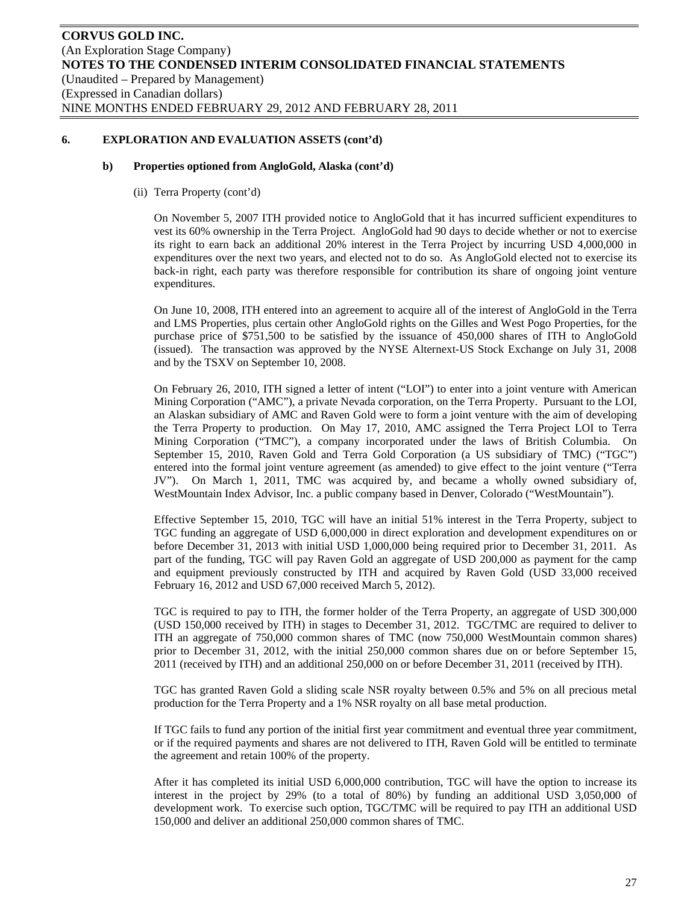#### **b) Properties optioned from AngloGold, Alaska (cont'd)**

(ii) Terra Property (cont'd)

On November 5, 2007 ITH provided notice to AngloGold that it has incurred sufficient expenditures to vest its 60% ownership in the Terra Project. AngloGold had 90 days to decide whether or not to exercise its right to earn back an additional 20% interest in the Terra Project by incurring USD 4,000,000 in expenditures over the next two years, and elected not to do so. As AngloGold elected not to exercise its back-in right, each party was therefore responsible for contribution its share of ongoing joint venture expenditures.

On June 10, 2008, ITH entered into an agreement to acquire all of the interest of AngloGold in the Terra and LMS Properties, plus certain other AngloGold rights on the Gilles and West Pogo Properties, for the purchase price of \$751,500 to be satisfied by the issuance of 450,000 shares of ITH to AngloGold (issued). The transaction was approved by the NYSE Alternext-US Stock Exchange on July 31, 2008 and by the TSXV on September 10, 2008.

On February 26, 2010, ITH signed a letter of intent ("LOI") to enter into a joint venture with American Mining Corporation ("AMC"), a private Nevada corporation, on the Terra Property. Pursuant to the LOI, an Alaskan subsidiary of AMC and Raven Gold were to form a joint venture with the aim of developing the Terra Property to production. On May 17, 2010, AMC assigned the Terra Project LOI to Terra Mining Corporation ("TMC"), a company incorporated under the laws of British Columbia. On September 15, 2010, Raven Gold and Terra Gold Corporation (a US subsidiary of TMC) ("TGC") entered into the formal joint venture agreement (as amended) to give effect to the joint venture ("Terra JV"). On March 1, 2011, TMC was acquired by, and became a wholly owned subsidiary of, WestMountain Index Advisor, Inc. a public company based in Denver, Colorado ("WestMountain").

Effective September 15, 2010, TGC will have an initial 51% interest in the Terra Property, subject to TGC funding an aggregate of USD 6,000,000 in direct exploration and development expenditures on or before December 31, 2013 with initial USD 1,000,000 being required prior to December 31, 2011. As part of the funding, TGC will pay Raven Gold an aggregate of USD 200,000 as payment for the camp and equipment previously constructed by ITH and acquired by Raven Gold (USD 33,000 received February 16, 2012 and USD 67,000 received March 5, 2012).

TGC is required to pay to ITH, the former holder of the Terra Property, an aggregate of USD 300,000 (USD 150,000 received by ITH) in stages to December 31, 2012. TGC/TMC are required to deliver to ITH an aggregate of 750,000 common shares of TMC (now 750,000 WestMountain common shares) prior to December 31, 2012, with the initial 250,000 common shares due on or before September 15, 2011 (received by ITH) and an additional 250,000 on or before December 31, 2011 (received by ITH).

TGC has granted Raven Gold a sliding scale NSR royalty between 0.5% and 5% on all precious metal production for the Terra Property and a 1% NSR royalty on all base metal production.

If TGC fails to fund any portion of the initial first year commitment and eventual three year commitment, or if the required payments and shares are not delivered to ITH, Raven Gold will be entitled to terminate the agreement and retain 100% of the property.

After it has completed its initial USD 6,000,000 contribution, TGC will have the option to increase its interest in the project by 29% (to a total of 80%) by funding an additional USD 3,050,000 of development work. To exercise such option, TGC/TMC will be required to pay ITH an additional USD 150,000 and deliver an additional 250,000 common shares of TMC.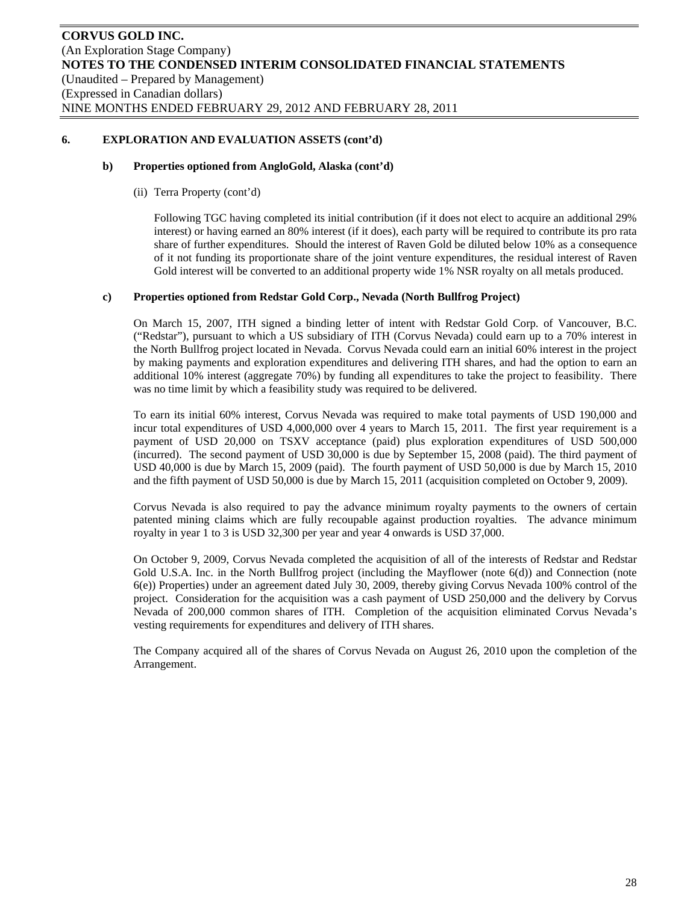#### **b) Properties optioned from AngloGold, Alaska (cont'd)**

(ii) Terra Property (cont'd)

Following TGC having completed its initial contribution (if it does not elect to acquire an additional 29% interest) or having earned an 80% interest (if it does), each party will be required to contribute its pro rata share of further expenditures. Should the interest of Raven Gold be diluted below 10% as a consequence of it not funding its proportionate share of the joint venture expenditures, the residual interest of Raven Gold interest will be converted to an additional property wide 1% NSR royalty on all metals produced.

### **c) Properties optioned from Redstar Gold Corp., Nevada (North Bullfrog Project)**

On March 15, 2007, ITH signed a binding letter of intent with Redstar Gold Corp. of Vancouver, B.C. ("Redstar"), pursuant to which a US subsidiary of ITH (Corvus Nevada) could earn up to a 70% interest in the North Bullfrog project located in Nevada. Corvus Nevada could earn an initial 60% interest in the project by making payments and exploration expenditures and delivering ITH shares, and had the option to earn an additional 10% interest (aggregate 70%) by funding all expenditures to take the project to feasibility. There was no time limit by which a feasibility study was required to be delivered.

To earn its initial 60% interest, Corvus Nevada was required to make total payments of USD 190,000 and incur total expenditures of USD 4,000,000 over 4 years to March 15, 2011. The first year requirement is a payment of USD 20,000 on TSXV acceptance (paid) plus exploration expenditures of USD 500,000 (incurred). The second payment of USD 30,000 is due by September 15, 2008 (paid). The third payment of USD 40,000 is due by March 15, 2009 (paid). The fourth payment of USD 50,000 is due by March 15, 2010 and the fifth payment of USD 50,000 is due by March 15, 2011 (acquisition completed on October 9, 2009).

Corvus Nevada is also required to pay the advance minimum royalty payments to the owners of certain patented mining claims which are fully recoupable against production royalties. The advance minimum royalty in year 1 to 3 is USD 32,300 per year and year 4 onwards is USD 37,000.

On October 9, 2009, Corvus Nevada completed the acquisition of all of the interests of Redstar and Redstar Gold U.S.A. Inc. in the North Bullfrog project (including the Mayflower (note 6(d)) and Connection (note 6(e)) Properties) under an agreement dated July 30, 2009, thereby giving Corvus Nevada 100% control of the project. Consideration for the acquisition was a cash payment of USD 250,000 and the delivery by Corvus Nevada of 200,000 common shares of ITH. Completion of the acquisition eliminated Corvus Nevada's vesting requirements for expenditures and delivery of ITH shares.

The Company acquired all of the shares of Corvus Nevada on August 26, 2010 upon the completion of the Arrangement.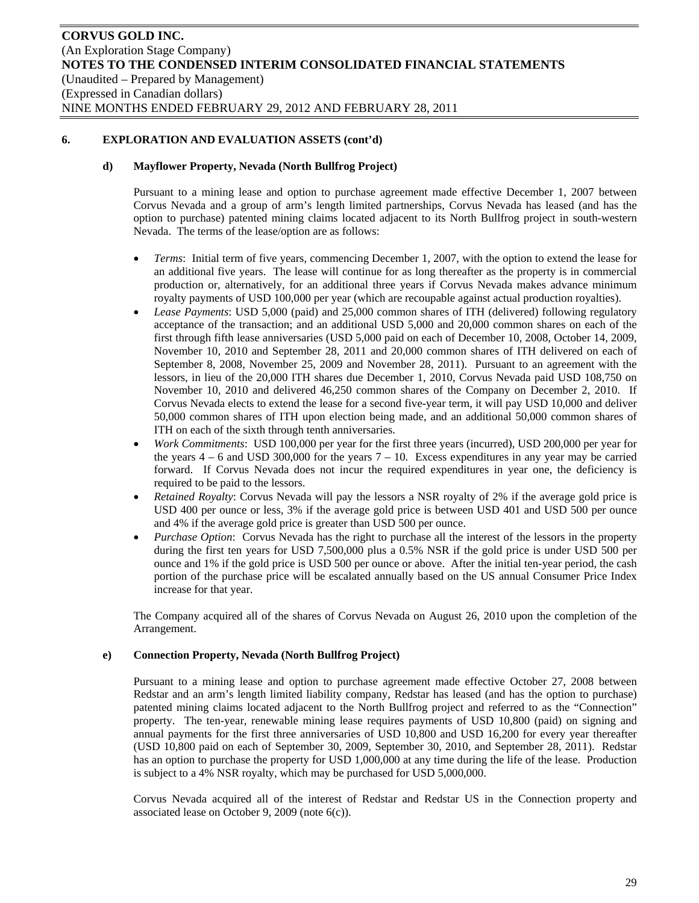### **d) Mayflower Property, Nevada (North Bullfrog Project)**

Pursuant to a mining lease and option to purchase agreement made effective December 1, 2007 between Corvus Nevada and a group of arm's length limited partnerships, Corvus Nevada has leased (and has the option to purchase) patented mining claims located adjacent to its North Bullfrog project in south-western Nevada. The terms of the lease/option are as follows:

- *Terms*: Initial term of five years, commencing December 1, 2007, with the option to extend the lease for an additional five years. The lease will continue for as long thereafter as the property is in commercial production or, alternatively, for an additional three years if Corvus Nevada makes advance minimum royalty payments of USD 100,000 per year (which are recoupable against actual production royalties).
- *Lease Payments*: USD 5,000 (paid) and 25,000 common shares of ITH (delivered) following regulatory acceptance of the transaction; and an additional USD 5,000 and 20,000 common shares on each of the first through fifth lease anniversaries (USD 5,000 paid on each of December 10, 2008, October 14, 2009, November 10, 2010 and September 28, 2011 and 20,000 common shares of ITH delivered on each of September 8, 2008, November 25, 2009 and November 28, 2011). Pursuant to an agreement with the lessors, in lieu of the 20,000 ITH shares due December 1, 2010, Corvus Nevada paid USD 108,750 on November 10, 2010 and delivered 46,250 common shares of the Company on December 2, 2010. If Corvus Nevada elects to extend the lease for a second five-year term, it will pay USD 10,000 and deliver 50,000 common shares of ITH upon election being made, and an additional 50,000 common shares of ITH on each of the sixth through tenth anniversaries.
- *Work Commitments*: USD 100,000 per year for the first three years (incurred), USD 200,000 per year for the years  $4 - 6$  and USD 300,000 for the years  $7 - 10$ . Excess expenditures in any year may be carried forward. If Corvus Nevada does not incur the required expenditures in year one, the deficiency is required to be paid to the lessors.
- *Retained Royalty*: Corvus Nevada will pay the lessors a NSR royalty of 2% if the average gold price is USD 400 per ounce or less, 3% if the average gold price is between USD 401 and USD 500 per ounce and 4% if the average gold price is greater than USD 500 per ounce.
- *Purchase Option*: Corvus Nevada has the right to purchase all the interest of the lessors in the property during the first ten years for USD 7,500,000 plus a 0.5% NSR if the gold price is under USD 500 per ounce and 1% if the gold price is USD 500 per ounce or above. After the initial ten-year period, the cash portion of the purchase price will be escalated annually based on the US annual Consumer Price Index increase for that year.

The Company acquired all of the shares of Corvus Nevada on August 26, 2010 upon the completion of the Arrangement.

# **e) Connection Property, Nevada (North Bullfrog Project)**

Pursuant to a mining lease and option to purchase agreement made effective October 27, 2008 between Redstar and an arm's length limited liability company, Redstar has leased (and has the option to purchase) patented mining claims located adjacent to the North Bullfrog project and referred to as the "Connection" property. The ten-year, renewable mining lease requires payments of USD 10,800 (paid) on signing and annual payments for the first three anniversaries of USD 10,800 and USD 16,200 for every year thereafter (USD 10,800 paid on each of September 30, 2009, September 30, 2010, and September 28, 2011). Redstar has an option to purchase the property for USD 1,000,000 at any time during the life of the lease. Production is subject to a 4% NSR royalty, which may be purchased for USD 5,000,000.

Corvus Nevada acquired all of the interest of Redstar and Redstar US in the Connection property and associated lease on October 9, 2009 (note 6(c)).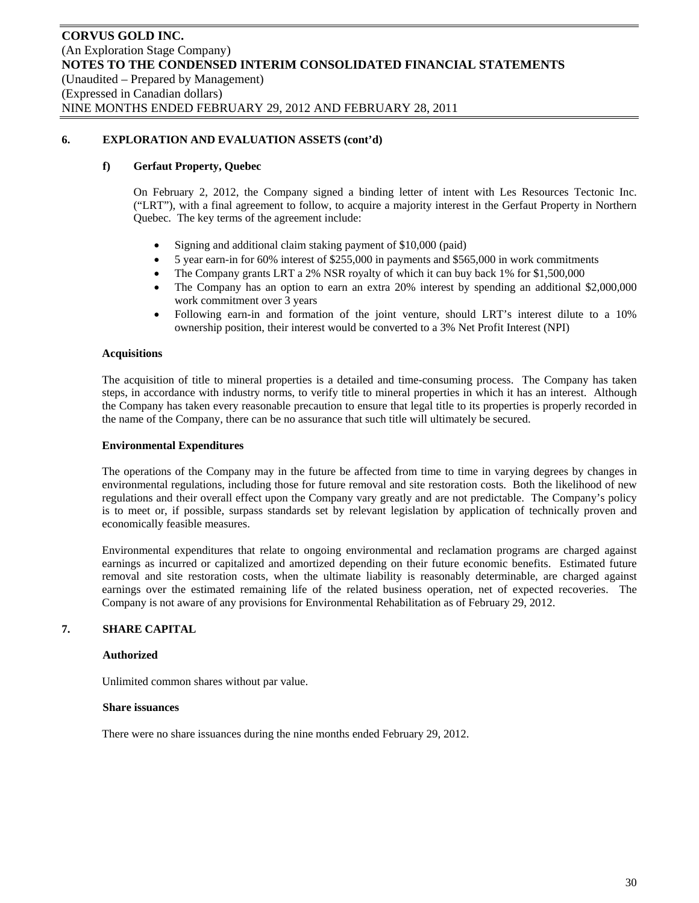#### **f) Gerfaut Property, Quebec**

On February 2, 2012, the Company signed a binding letter of intent with Les Resources Tectonic Inc. ("LRT"), with a final agreement to follow, to acquire a majority interest in the Gerfaut Property in Northern Quebec. The key terms of the agreement include:

- Signing and additional claim staking payment of \$10,000 (paid)
- 5 year earn-in for 60% interest of \$255,000 in payments and \$565,000 in work commitments
- The Company grants LRT a 2% NSR royalty of which it can buy back 1% for \$1,500,000
- The Company has an option to earn an extra 20% interest by spending an additional \$2,000,000 work commitment over 3 years
- Following earn-in and formation of the joint venture, should LRT's interest dilute to a 10% ownership position, their interest would be converted to a 3% Net Profit Interest (NPI)

#### **Acquisitions**

The acquisition of title to mineral properties is a detailed and time-consuming process. The Company has taken steps, in accordance with industry norms, to verify title to mineral properties in which it has an interest. Although the Company has taken every reasonable precaution to ensure that legal title to its properties is properly recorded in the name of the Company, there can be no assurance that such title will ultimately be secured.

#### **Environmental Expenditures**

The operations of the Company may in the future be affected from time to time in varying degrees by changes in environmental regulations, including those for future removal and site restoration costs. Both the likelihood of new regulations and their overall effect upon the Company vary greatly and are not predictable. The Company's policy is to meet or, if possible, surpass standards set by relevant legislation by application of technically proven and economically feasible measures.

Environmental expenditures that relate to ongoing environmental and reclamation programs are charged against earnings as incurred or capitalized and amortized depending on their future economic benefits. Estimated future removal and site restoration costs, when the ultimate liability is reasonably determinable, are charged against earnings over the estimated remaining life of the related business operation, net of expected recoveries. The Company is not aware of any provisions for Environmental Rehabilitation as of February 29, 2012.

# **7. SHARE CAPITAL**

#### **Authorized**

Unlimited common shares without par value.

#### **Share issuances**

There were no share issuances during the nine months ended February 29, 2012.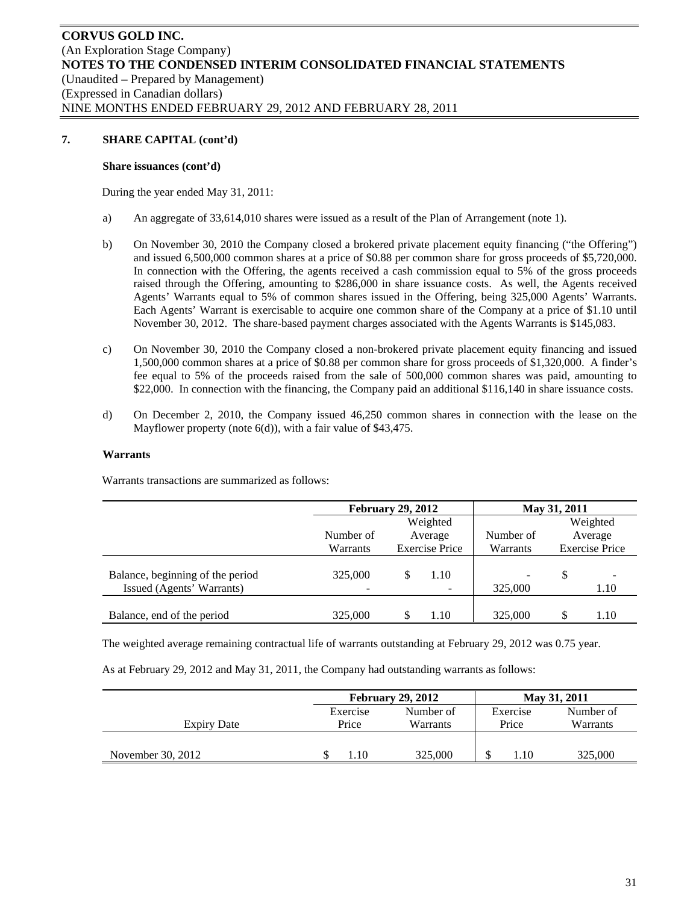#### **Share issuances (cont'd)**

During the year ended May 31, 2011:

- a) An aggregate of 33,614,010 shares were issued as a result of the Plan of Arrangement (note 1).
- b) On November 30, 2010 the Company closed a brokered private placement equity financing ("the Offering") and issued 6,500,000 common shares at a price of \$0.88 per common share for gross proceeds of \$5,720,000. In connection with the Offering, the agents received a cash commission equal to 5% of the gross proceeds raised through the Offering, amounting to \$286,000 in share issuance costs. As well, the Agents received Agents' Warrants equal to 5% of common shares issued in the Offering, being 325,000 Agents' Warrants. Each Agents' Warrant is exercisable to acquire one common share of the Company at a price of \$1.10 until November 30, 2012. The share-based payment charges associated with the Agents Warrants is \$145,083.
- c) On November 30, 2010 the Company closed a non-brokered private placement equity financing and issued 1,500,000 common shares at a price of \$0.88 per common share for gross proceeds of \$1,320,000. A finder's fee equal to 5% of the proceeds raised from the sale of 500,000 common shares was paid, amounting to \$22,000. In connection with the financing, the Company paid an additional \$116,140 in share issuance costs.
- d) On December 2, 2010, the Company issued 46,250 common shares in connection with the lease on the Mayflower property (note 6(d)), with a fair value of \$43,475.

#### **Warrants**

Warrants transactions are summarized as follows:

|                                                               | <b>February 29, 2012</b> |           |                       | May 31, 2011                            |         |                       |  |
|---------------------------------------------------------------|--------------------------|-----------|-----------------------|-----------------------------------------|---------|-----------------------|--|
|                                                               |                          |           | Weighted              |                                         |         | Weighted              |  |
|                                                               | Number of                | Average   |                       | Number of                               | Average |                       |  |
|                                                               | Warrants                 |           | <b>Exercise Price</b> | Warrants                                |         | <b>Exercise Price</b> |  |
| Balance, beginning of the period<br>Issued (Agents' Warrants) | 325,000                  | 1.10<br>- |                       | $\qquad \qquad \blacksquare$<br>325,000 | S       | 1.10                  |  |
| Balance, end of the period                                    | 325,000                  |           | 1.10                  | 325,000                                 |         | 1.10                  |  |

The weighted average remaining contractual life of warrants outstanding at February 29, 2012 was 0.75 year.

As at February 29, 2012 and May 31, 2011, the Company had outstanding warrants as follows:

|                   |                       | <b>February 29, 2012</b> |          | May 31, 2011 |  |
|-------------------|-----------------------|--------------------------|----------|--------------|--|
|                   | Number of<br>Exercise |                          | Exercise | Number of    |  |
| Expiry Date       | Price                 | Warrants                 | Price    | Warrants     |  |
|                   |                       |                          |          |              |  |
| November 30, 2012 | $.10\,$               | 325,000                  | 1.10     | 325,000      |  |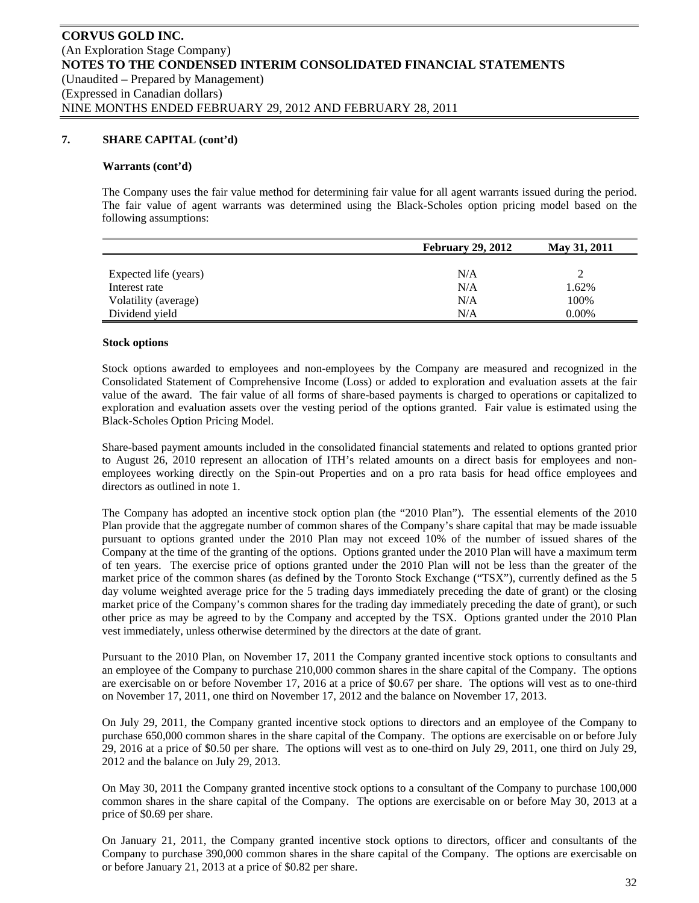#### **Warrants (cont'd)**

The Company uses the fair value method for determining fair value for all agent warrants issued during the period. The fair value of agent warrants was determined using the Black-Scholes option pricing model based on the following assumptions:

|                       | <b>February 29, 2012</b> | May 31, 2011 |
|-----------------------|--------------------------|--------------|
|                       |                          |              |
| Expected life (years) | N/A                      |              |
| Interest rate         | N/A                      | 1.62%        |
| Volatility (average)  | N/A                      | 100%         |
| Dividend yield        | N/A                      | $0.00\%$     |

#### **Stock options**

Stock options awarded to employees and non-employees by the Company are measured and recognized in the Consolidated Statement of Comprehensive Income (Loss) or added to exploration and evaluation assets at the fair value of the award. The fair value of all forms of share-based payments is charged to operations or capitalized to exploration and evaluation assets over the vesting period of the options granted. Fair value is estimated using the Black-Scholes Option Pricing Model.

Share-based payment amounts included in the consolidated financial statements and related to options granted prior to August 26, 2010 represent an allocation of ITH's related amounts on a direct basis for employees and nonemployees working directly on the Spin-out Properties and on a pro rata basis for head office employees and directors as outlined in note 1.

The Company has adopted an incentive stock option plan (the "2010 Plan"). The essential elements of the 2010 Plan provide that the aggregate number of common shares of the Company's share capital that may be made issuable pursuant to options granted under the 2010 Plan may not exceed 10% of the number of issued shares of the Company at the time of the granting of the options. Options granted under the 2010 Plan will have a maximum term of ten years. The exercise price of options granted under the 2010 Plan will not be less than the greater of the market price of the common shares (as defined by the Toronto Stock Exchange ("TSX"), currently defined as the 5 day volume weighted average price for the 5 trading days immediately preceding the date of grant) or the closing market price of the Company's common shares for the trading day immediately preceding the date of grant), or such other price as may be agreed to by the Company and accepted by the TSX. Options granted under the 2010 Plan vest immediately, unless otherwise determined by the directors at the date of grant.

Pursuant to the 2010 Plan, on November 17, 2011 the Company granted incentive stock options to consultants and an employee of the Company to purchase 210,000 common shares in the share capital of the Company. The options are exercisable on or before November 17, 2016 at a price of \$0.67 per share. The options will vest as to one-third on November 17, 2011, one third on November 17, 2012 and the balance on November 17, 2013.

On July 29, 2011, the Company granted incentive stock options to directors and an employee of the Company to purchase 650,000 common shares in the share capital of the Company. The options are exercisable on or before July 29, 2016 at a price of \$0.50 per share. The options will vest as to one-third on July 29, 2011, one third on July 29, 2012 and the balance on July 29, 2013.

On May 30, 2011 the Company granted incentive stock options to a consultant of the Company to purchase 100,000 common shares in the share capital of the Company. The options are exercisable on or before May 30, 2013 at a price of \$0.69 per share.

On January 21, 2011, the Company granted incentive stock options to directors, officer and consultants of the Company to purchase 390,000 common shares in the share capital of the Company. The options are exercisable on or before January 21, 2013 at a price of \$0.82 per share.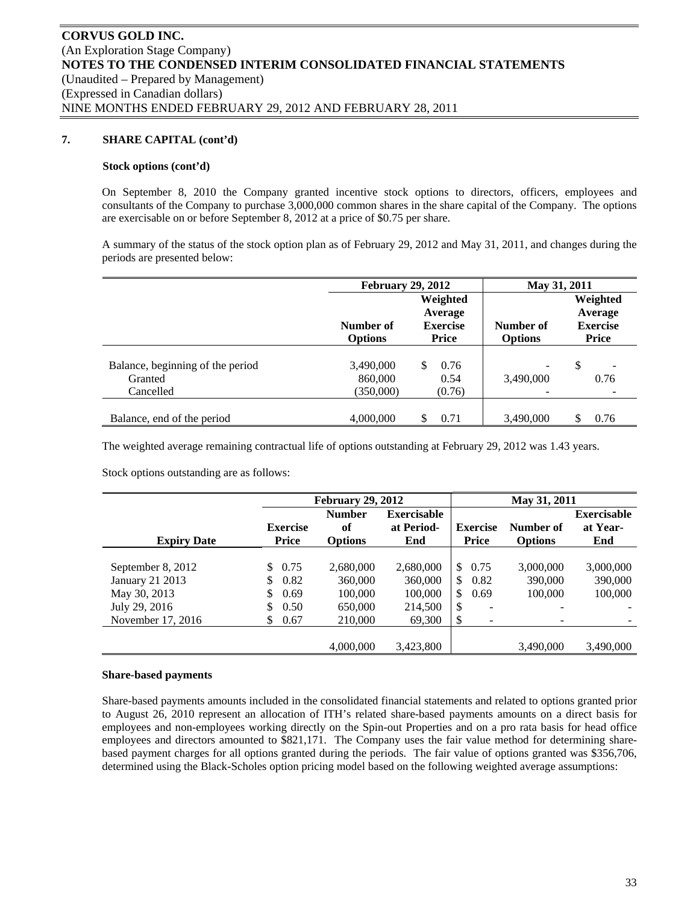#### **Stock options (cont'd)**

On September 8, 2010 the Company granted incentive stock options to directors, officers, employees and consultants of the Company to purchase 3,000,000 common shares in the share capital of the Company. The options are exercisable on or before September 8, 2012 at a price of \$0.75 per share.

A summary of the status of the stock option plan as of February 29, 2012 and May 31, 2011, and changes during the periods are presented below:

|                                                          | <b>February 29, 2012</b>          |                                                 | May 31, 2011                |                                                        |  |
|----------------------------------------------------------|-----------------------------------|-------------------------------------------------|-----------------------------|--------------------------------------------------------|--|
|                                                          | Number of<br><b>Options</b>       | Weighted<br>Average<br><b>Exercise</b><br>Price | Number of<br><b>Options</b> | Weighted<br>Average<br><b>Exercise</b><br><b>Price</b> |  |
| Balance, beginning of the period<br>Granted<br>Cancelled | 3,490,000<br>860,000<br>(350,000) | 0.76<br>\$.<br>0.54<br>(0.76)                   | -<br>3,490,000              | \$<br>٠<br>0.76                                        |  |
| Balance, end of the period                               | 4,000,000                         | 0.71<br>S                                       | 3.490,000                   | 0.76                                                   |  |

The weighted average remaining contractual life of options outstanding at February 29, 2012 was 1.43 years.

Stock options outstanding are as follows:

|                    |                                 | <b>February 29, 2012</b>              |                                         |                                 | May 31, 2011                |                                       |
|--------------------|---------------------------------|---------------------------------------|-----------------------------------------|---------------------------------|-----------------------------|---------------------------------------|
| <b>Expiry Date</b> | <b>Exercise</b><br><b>Price</b> | <b>Number</b><br>of<br><b>Options</b> | <b>Exercisable</b><br>at Period-<br>End | <b>Exercise</b><br><b>Price</b> | Number of<br><b>Options</b> | <b>Exercisable</b><br>at Year-<br>End |
|                    |                                 |                                       |                                         |                                 |                             |                                       |
| September 8, 2012  | \$<br>0.75                      | 2,680,000                             | 2,680,000                               | $^{\circ}$<br>0.75              | 3,000,000                   | 3,000,000                             |
| January 21 2013    | \$<br>0.82                      | 360,000                               | 360,000                                 | \$<br>0.82                      | 390,000                     | 390,000                               |
| May 30, 2013       | \$<br>0.69                      | 100,000                               | 100,000                                 | \$<br>0.69                      | 100,000                     | 100,000                               |
| July 29, 2016      | \$<br>0.50                      | 650,000                               | 214,500                                 | \$<br>۰                         |                             |                                       |
| November 17, 2016  | \$<br>0.67                      | 210,000                               | 69,300                                  | \$<br>$\overline{\phantom{a}}$  | $\overline{\phantom{0}}$    |                                       |
|                    |                                 |                                       |                                         |                                 |                             |                                       |
|                    |                                 | 4,000,000                             | 3,423,800                               |                                 | 3,490,000                   | 3,490,000                             |

#### **Share-based payments**

Share-based payments amounts included in the consolidated financial statements and related to options granted prior to August 26, 2010 represent an allocation of ITH's related share-based payments amounts on a direct basis for employees and non-employees working directly on the Spin-out Properties and on a pro rata basis for head office employees and directors amounted to \$821,171. The Company uses the fair value method for determining sharebased payment charges for all options granted during the periods. The fair value of options granted was \$356,706, determined using the Black-Scholes option pricing model based on the following weighted average assumptions: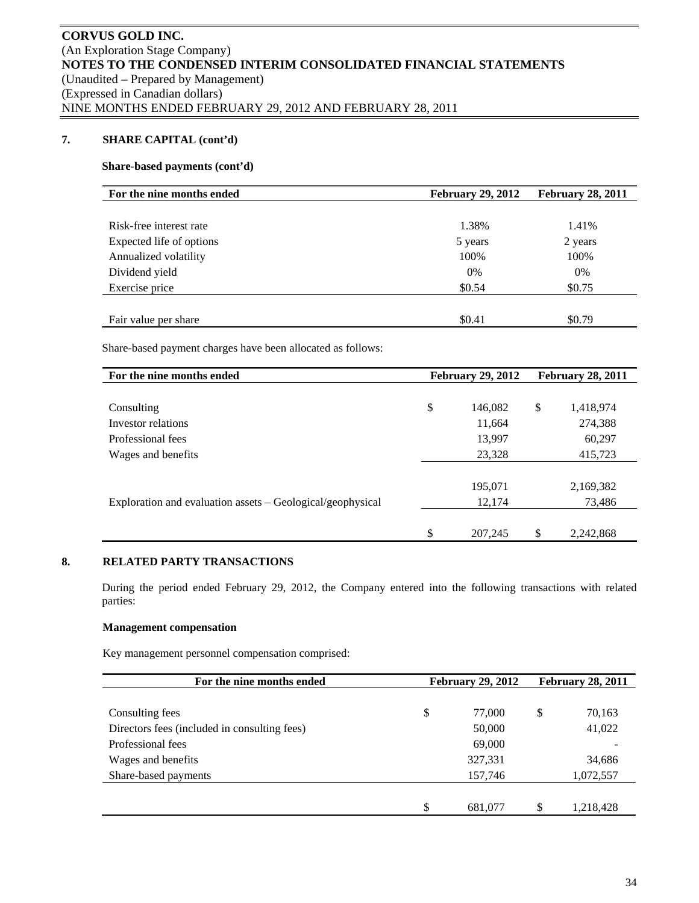# **Share-based payments (cont'd)**

| For the nine months ended | <b>February 29, 2012</b> | <b>February 28, 2011</b> |
|---------------------------|--------------------------|--------------------------|
|                           |                          |                          |
| Risk-free interest rate   | 1.38%                    | 1.41%                    |
| Expected life of options  | 5 years                  | 2 years                  |
| Annualized volatility     | 100%                     | 100%                     |
| Dividend yield            | 0%                       | 0%                       |
| Exercise price            | \$0.54                   | \$0.75                   |
|                           |                          |                          |
| Fair value per share      | \$0.41                   | \$0.79                   |

Share-based payment charges have been allocated as follows:

| For the nine months ended                                  | <b>February 29, 2012</b> | <b>February 28, 2011</b> |           |  |
|------------------------------------------------------------|--------------------------|--------------------------|-----------|--|
|                                                            |                          |                          |           |  |
| Consulting                                                 | \$<br>146,082            | \$                       | 1,418,974 |  |
| Investor relations                                         | 11,664                   |                          | 274,388   |  |
| Professional fees                                          | 13,997                   |                          | 60,297    |  |
| Wages and benefits                                         | 23,328                   |                          | 415,723   |  |
|                                                            |                          |                          |           |  |
|                                                            | 195,071                  |                          | 2,169,382 |  |
| Exploration and evaluation assets – Geological/geophysical | 12,174                   |                          | 73,486    |  |
|                                                            |                          |                          |           |  |
|                                                            | \$<br>207,245            | \$.                      | 2,242,868 |  |

# **8. RELATED PARTY TRANSACTIONS**

During the period ended February 29, 2012, the Company entered into the following transactions with related parties:

# **Management compensation**

Key management personnel compensation comprised:

| For the nine months ended                    | <b>February 29, 2012</b> |         |    | <b>February 28, 2011</b> |
|----------------------------------------------|--------------------------|---------|----|--------------------------|
|                                              |                          |         |    |                          |
| Consulting fees                              | \$                       | 77,000  | \$ | 70,163                   |
| Directors fees (included in consulting fees) |                          | 50,000  |    | 41,022                   |
| Professional fees                            |                          | 69,000  |    |                          |
| Wages and benefits                           |                          | 327,331 |    | 34,686                   |
| Share-based payments                         |                          | 157,746 |    | 1,072,557                |
|                                              |                          |         |    |                          |
|                                              | \$                       | 681,077 | \$ | 1,218,428                |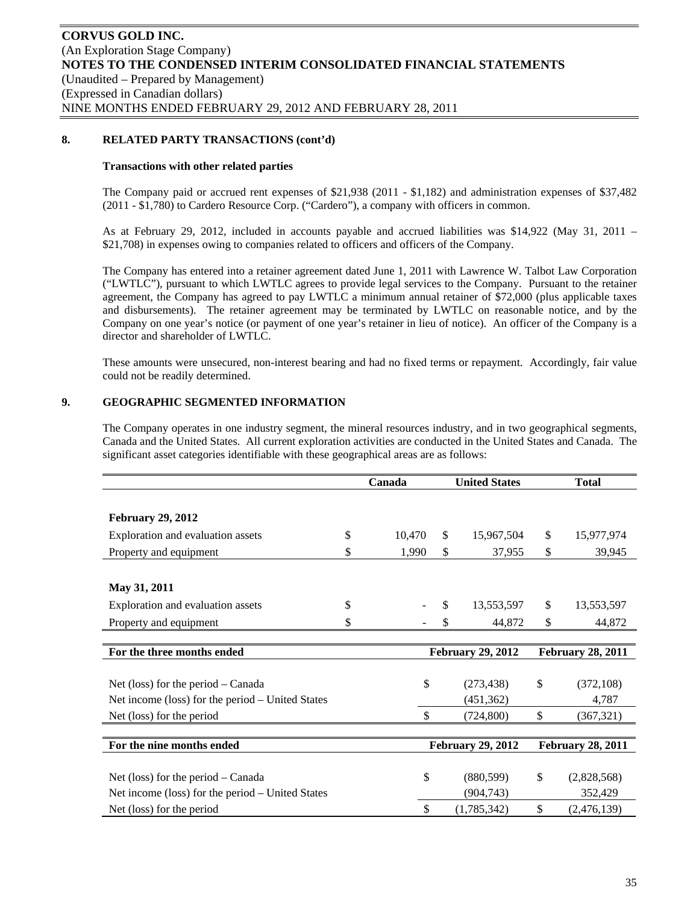# **8. RELATED PARTY TRANSACTIONS (cont'd)**

#### **Transactions with other related parties**

The Company paid or accrued rent expenses of \$21,938 (2011 - \$1,182) and administration expenses of \$37,482 (2011 - \$1,780) to Cardero Resource Corp. ("Cardero"), a company with officers in common.

As at February 29, 2012, included in accounts payable and accrued liabilities was \$14,922 (May 31, 2011 – \$21,708) in expenses owing to companies related to officers and officers of the Company.

The Company has entered into a retainer agreement dated June 1, 2011 with Lawrence W. Talbot Law Corporation ("LWTLC"), pursuant to which LWTLC agrees to provide legal services to the Company. Pursuant to the retainer agreement, the Company has agreed to pay LWTLC a minimum annual retainer of \$72,000 (plus applicable taxes and disbursements). The retainer agreement may be terminated by LWTLC on reasonable notice, and by the Company on one year's notice (or payment of one year's retainer in lieu of notice). An officer of the Company is a director and shareholder of LWTLC.

These amounts were unsecured, non-interest bearing and had no fixed terms or repayment. Accordingly, fair value could not be readily determined.

# **9. GEOGRAPHIC SEGMENTED INFORMATION**

The Company operates in one industry segment, the mineral resources industry, and in two geographical segments, Canada and the United States. All current exploration activities are conducted in the United States and Canada. The significant asset categories identifiable with these geographical areas are as follows:

|                                                  | Canada       |                          | <b>United States</b> |    | <b>Total</b>             |
|--------------------------------------------------|--------------|--------------------------|----------------------|----|--------------------------|
|                                                  |              |                          |                      |    |                          |
| <b>February 29, 2012</b>                         |              |                          |                      |    |                          |
| Exploration and evaluation assets                | \$<br>10,470 | \$                       | 15,967,504           | \$ | 15,977,974               |
| Property and equipment                           | \$<br>1,990  | \$                       | 37,955               | \$ | 39,945                   |
|                                                  |              |                          |                      |    |                          |
| May 31, 2011                                     |              |                          |                      |    |                          |
| \$<br>Exploration and evaluation assets          |              | \$                       | 13,553,597           | \$ | 13,553,597               |
| Property and equipment                           | \$           | \$                       | 44,872               | \$ | 44,872                   |
|                                                  |              |                          |                      |    |                          |
| For the three months ended                       |              | <b>February 29, 2012</b> |                      |    | <b>February 28, 2011</b> |
|                                                  |              |                          |                      |    |                          |
| Net (loss) for the period $-$ Canada             | \$           |                          | (273, 438)           | \$ | (372, 108)               |
| Net income (loss) for the period – United States |              |                          | (451, 362)           |    | 4,787                    |
| Net (loss) for the period                        | \$           |                          | (724, 800)           | \$ | (367, 321)               |
|                                                  |              |                          |                      |    |                          |
| For the nine months ended                        |              | <b>February 29, 2012</b> |                      |    | <b>February 28, 2011</b> |
|                                                  |              |                          |                      |    |                          |
| Net (loss) for the period $-$ Canada             | \$           |                          | (880, 599)           | \$ | (2,828,568)              |
| Net income (loss) for the period – United States |              |                          | (904, 743)           |    | 352,429                  |
| Net (loss) for the period                        | \$           |                          | (1,785,342)          | \$ | (2,476,139)              |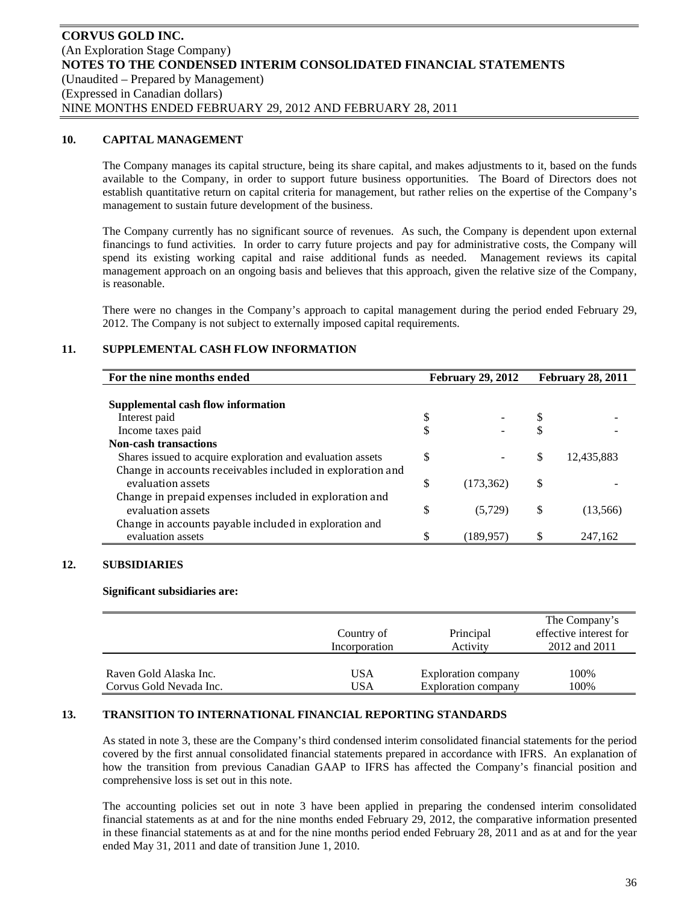### **10. CAPITAL MANAGEMENT**

The Company manages its capital structure, being its share capital, and makes adjustments to it, based on the funds available to the Company, in order to support future business opportunities. The Board of Directors does not establish quantitative return on capital criteria for management, but rather relies on the expertise of the Company's management to sustain future development of the business.

The Company currently has no significant source of revenues. As such, the Company is dependent upon external financings to fund activities. In order to carry future projects and pay for administrative costs, the Company will spend its existing working capital and raise additional funds as needed. Management reviews its capital management approach on an ongoing basis and believes that this approach, given the relative size of the Company, is reasonable.

There were no changes in the Company's approach to capital management during the period ended February 29, 2012. The Company is not subject to externally imposed capital requirements.

# **11. SUPPLEMENTAL CASH FLOW INFORMATION**

| For the nine months ended                                  | <b>February 29, 2012</b> | <b>February 28, 2011</b> |            |  |
|------------------------------------------------------------|--------------------------|--------------------------|------------|--|
|                                                            |                          |                          |            |  |
| Supplemental cash flow information                         |                          |                          |            |  |
| Interest paid                                              | \$                       | S                        |            |  |
| Income taxes paid                                          |                          |                          |            |  |
| <b>Non-cash transactions</b>                               |                          |                          |            |  |
| Shares issued to acquire exploration and evaluation assets | \$                       | S                        | 12,435,883 |  |
| Change in accounts receivables included in exploration and |                          |                          |            |  |
| evaluation assets                                          | \$<br>(173, 362)         | S                        |            |  |
| Change in prepaid expenses included in exploration and     |                          |                          |            |  |
| evaluation assets                                          | \$<br>(5, 729)           | \$                       | (13,566)   |  |
| Change in accounts payable included in exploration and     |                          |                          |            |  |
| evaluation assets                                          | \$<br>(189,957)          |                          | 247.162    |  |

# **12. SUBSIDIARIES**

#### **Significant subsidiaries are:**

|                         | Country of<br>Incorporation | Principal<br>Activity      | The Company's<br>effective interest for<br>2012 and 2011 |
|-------------------------|-----------------------------|----------------------------|----------------------------------------------------------|
| Raven Gold Alaska Inc.  | USA                         | Exploration company        | 100%                                                     |
| Corvus Gold Nevada Inc. | USA                         | <b>Exploration company</b> | 100%                                                     |

# **13. TRANSITION TO INTERNATIONAL FINANCIAL REPORTING STANDARDS**

As stated in note 3, these are the Company's third condensed interim consolidated financial statements for the period covered by the first annual consolidated financial statements prepared in accordance with IFRS. An explanation of how the transition from previous Canadian GAAP to IFRS has affected the Company's financial position and comprehensive loss is set out in this note.

The accounting policies set out in note 3 have been applied in preparing the condensed interim consolidated financial statements as at and for the nine months ended February 29, 2012, the comparative information presented in these financial statements as at and for the nine months period ended February 28, 2011 and as at and for the year ended May 31, 2011 and date of transition June 1, 2010.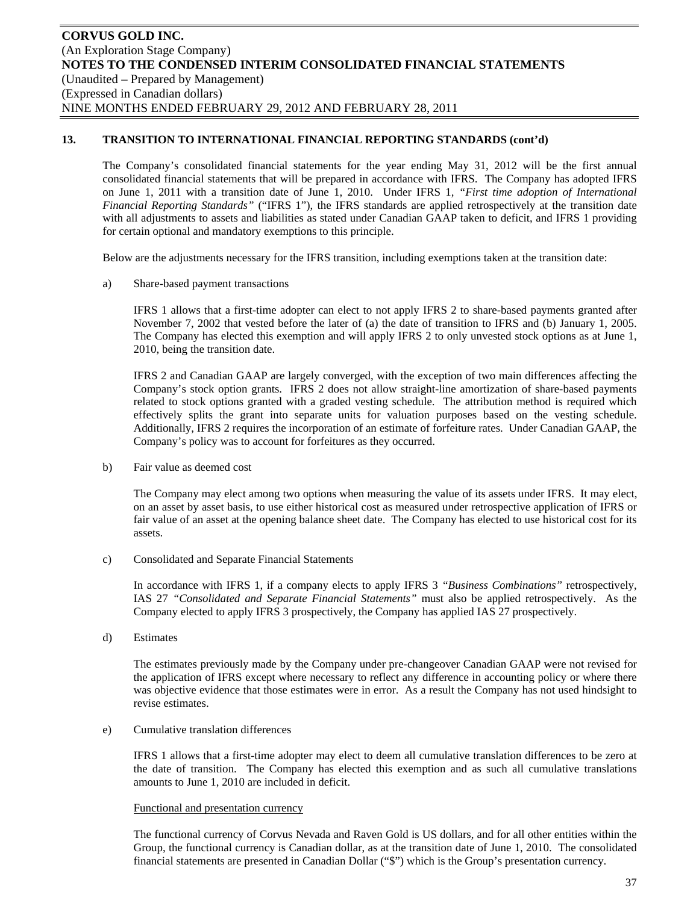The Company's consolidated financial statements for the year ending May 31, 2012 will be the first annual consolidated financial statements that will be prepared in accordance with IFRS. The Company has adopted IFRS on June 1, 2011 with a transition date of June 1, 2010. Under IFRS 1*, "First time adoption of International Financial Reporting Standards"* ("IFRS 1"), the IFRS standards are applied retrospectively at the transition date with all adjustments to assets and liabilities as stated under Canadian GAAP taken to deficit, and IFRS 1 providing for certain optional and mandatory exemptions to this principle.

Below are the adjustments necessary for the IFRS transition, including exemptions taken at the transition date:

a) Share-based payment transactions

IFRS 1 allows that a first-time adopter can elect to not apply IFRS 2 to share-based payments granted after November 7, 2002 that vested before the later of (a) the date of transition to IFRS and (b) January 1, 2005. The Company has elected this exemption and will apply IFRS 2 to only unvested stock options as at June 1, 2010, being the transition date.

IFRS 2 and Canadian GAAP are largely converged, with the exception of two main differences affecting the Company's stock option grants. IFRS 2 does not allow straight-line amortization of share-based payments related to stock options granted with a graded vesting schedule. The attribution method is required which effectively splits the grant into separate units for valuation purposes based on the vesting schedule. Additionally, IFRS 2 requires the incorporation of an estimate of forfeiture rates. Under Canadian GAAP, the Company's policy was to account for forfeitures as they occurred.

b) Fair value as deemed cost

The Company may elect among two options when measuring the value of its assets under IFRS. It may elect, on an asset by asset basis, to use either historical cost as measured under retrospective application of IFRS or fair value of an asset at the opening balance sheet date. The Company has elected to use historical cost for its assets.

c) Consolidated and Separate Financial Statements

In accordance with IFRS 1, if a company elects to apply IFRS 3 *"Business Combinations"* retrospectively, IAS 27 *"Consolidated and Separate Financial Statements"* must also be applied retrospectively. As the Company elected to apply IFRS 3 prospectively, the Company has applied IAS 27 prospectively.

d) Estimates

The estimates previously made by the Company under pre-changeover Canadian GAAP were not revised for the application of IFRS except where necessary to reflect any difference in accounting policy or where there was objective evidence that those estimates were in error. As a result the Company has not used hindsight to revise estimates.

e) Cumulative translation differences

IFRS 1 allows that a first-time adopter may elect to deem all cumulative translation differences to be zero at the date of transition. The Company has elected this exemption and as such all cumulative translations amounts to June 1, 2010 are included in deficit.

#### Functional and presentation currency

The functional currency of Corvus Nevada and Raven Gold is US dollars, and for all other entities within the Group, the functional currency is Canadian dollar, as at the transition date of June 1, 2010. The consolidated financial statements are presented in Canadian Dollar ("\$") which is the Group's presentation currency.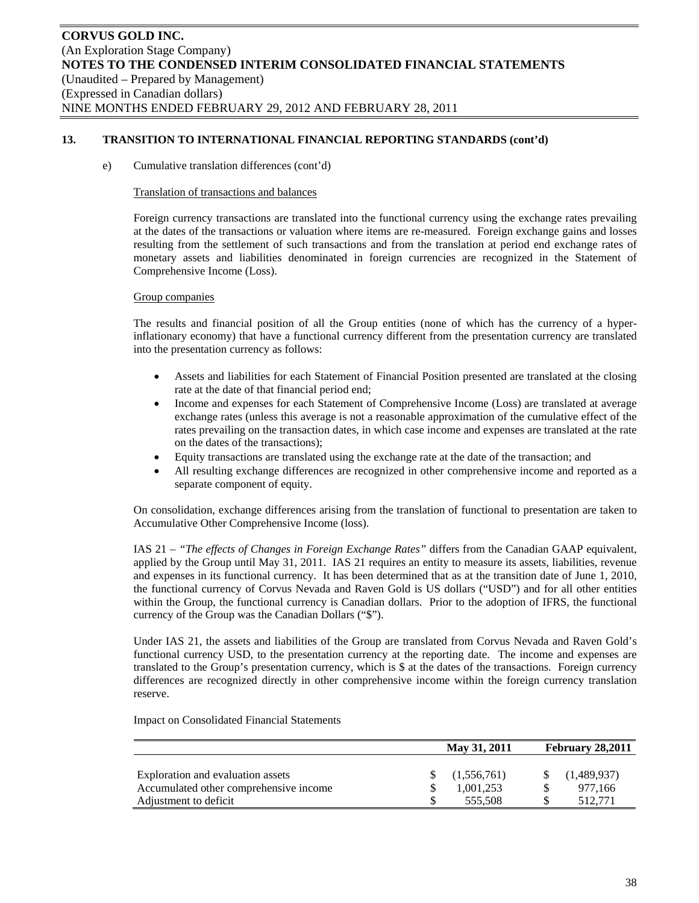e) Cumulative translation differences (cont'd)

#### Translation of transactions and balances

Foreign currency transactions are translated into the functional currency using the exchange rates prevailing at the dates of the transactions or valuation where items are re-measured. Foreign exchange gains and losses resulting from the settlement of such transactions and from the translation at period end exchange rates of monetary assets and liabilities denominated in foreign currencies are recognized in the Statement of Comprehensive Income (Loss).

#### Group companies

The results and financial position of all the Group entities (none of which has the currency of a hyperinflationary economy) that have a functional currency different from the presentation currency are translated into the presentation currency as follows:

- Assets and liabilities for each Statement of Financial Position presented are translated at the closing rate at the date of that financial period end;
- Income and expenses for each Statement of Comprehensive Income (Loss) are translated at average exchange rates (unless this average is not a reasonable approximation of the cumulative effect of the rates prevailing on the transaction dates, in which case income and expenses are translated at the rate on the dates of the transactions);
- Equity transactions are translated using the exchange rate at the date of the transaction; and
- All resulting exchange differences are recognized in other comprehensive income and reported as a separate component of equity.

On consolidation, exchange differences arising from the translation of functional to presentation are taken to Accumulative Other Comprehensive Income (loss).

IAS 21 – *"The effects of Changes in Foreign Exchange Rates"* differs from the Canadian GAAP equivalent, applied by the Group until May 31, 2011. IAS 21 requires an entity to measure its assets, liabilities, revenue and expenses in its functional currency. It has been determined that as at the transition date of June 1, 2010, the functional currency of Corvus Nevada and Raven Gold is US dollars ("USD") and for all other entities within the Group, the functional currency is Canadian dollars. Prior to the adoption of IFRS, the functional currency of the Group was the Canadian Dollars ("\$").

Under IAS 21, the assets and liabilities of the Group are translated from Corvus Nevada and Raven Gold's functional currency USD, to the presentation currency at the reporting date. The income and expenses are translated to the Group's presentation currency, which is \$ at the dates of the transactions. Foreign currency differences are recognized directly in other comprehensive income within the foreign currency translation reserve.

Impact on Consolidated Financial Statements

|                                                                                                      | May 31, 2011                        | <b>February 28,2011</b> |                                   |  |  |
|------------------------------------------------------------------------------------------------------|-------------------------------------|-------------------------|-----------------------------------|--|--|
| Exploration and evaluation assets<br>Accumulated other comprehensive income<br>Adjustment to deficit | (1,556,761)<br>1.001.253<br>555.508 |                         | (1,489,937)<br>977.166<br>512.771 |  |  |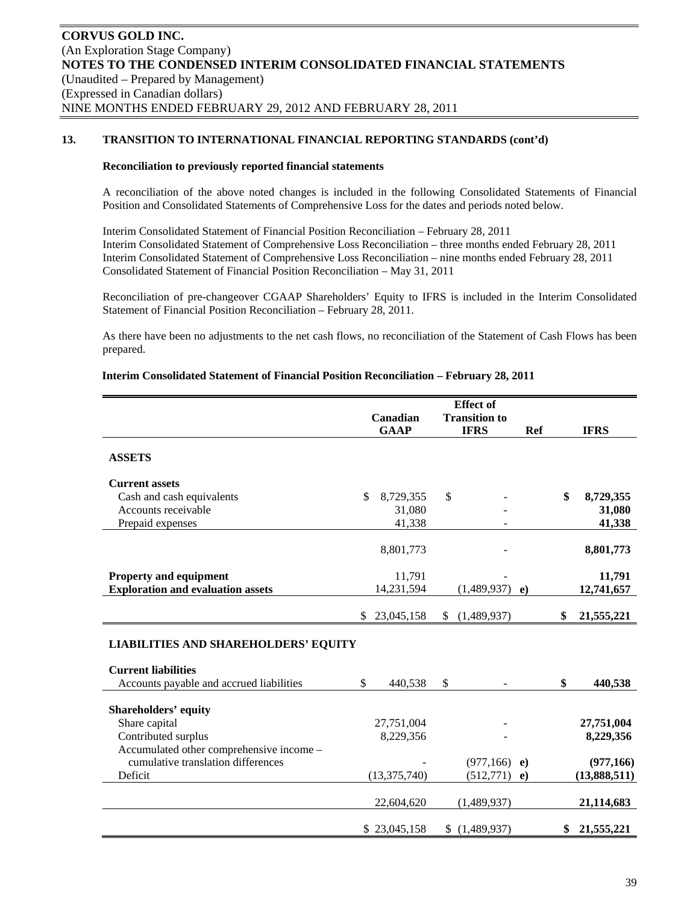#### **Reconciliation to previously reported financial statements**

A reconciliation of the above noted changes is included in the following Consolidated Statements of Financial Position and Consolidated Statements of Comprehensive Loss for the dates and periods noted below.

Interim Consolidated Statement of Financial Position Reconciliation – February 28, 2011 Interim Consolidated Statement of Comprehensive Loss Reconciliation – three months ended February 28, 2011 Interim Consolidated Statement of Comprehensive Loss Reconciliation – nine months ended February 28, 2011 Consolidated Statement of Financial Position Reconciliation – May 31, 2011

Reconciliation of pre-changeover CGAAP Shareholders' Equity to IFRS is included in the Interim Consolidated Statement of Financial Position Reconciliation – February 28, 2011.

As there have been no adjustments to the net cash flows, no reconciliation of the Statement of Cash Flows has been prepared.

### **Interim Consolidated Statement of Financial Position Reconciliation – February 28, 2011**

|                                             | <b>Effect</b> of |                |    |                      |            |    |              |
|---------------------------------------------|------------------|----------------|----|----------------------|------------|----|--------------|
|                                             |                  | Canadian       |    | <b>Transition to</b> |            |    |              |
|                                             |                  | <b>GAAP</b>    |    | <b>IFRS</b>          | <b>Ref</b> |    | <b>IFRS</b>  |
| <b>ASSETS</b>                               |                  |                |    |                      |            |    |              |
| <b>Current assets</b>                       |                  |                |    |                      |            |    |              |
| Cash and cash equivalents                   | \$               | 8,729,355      | \$ |                      |            | \$ | 8,729,355    |
| Accounts receivable                         |                  | 31,080         |    |                      |            |    | 31,080       |
| Prepaid expenses                            |                  | 41,338         |    |                      |            |    | 41,338       |
|                                             |                  | 8,801,773      |    |                      |            |    | 8,801,773    |
| <b>Property and equipment</b>               |                  | 11,791         |    |                      |            |    | 11,791       |
| <b>Exploration and evaluation assets</b>    |                  | 14,231,594     |    | (1,489,937)          | $\bf e)$   |    | 12,741,657   |
|                                             | \$.              | 23,045,158     | \$ | (1,489,937)          |            | \$ | 21,555,221   |
| <b>LIABILITIES AND SHAREHOLDERS' EQUITY</b> |                  |                |    |                      |            |    |              |
| <b>Current liabilities</b>                  |                  |                |    |                      |            |    |              |
| Accounts payable and accrued liabilities    | \$               | 440,538        | \$ |                      |            | \$ | 440,538      |
| <b>Shareholders' equity</b>                 |                  |                |    |                      |            |    |              |
| Share capital                               |                  | 27,751,004     |    |                      |            |    | 27,751,004   |
| Contributed surplus                         |                  | 8,229,356      |    |                      |            |    | 8,229,356    |
| Accumulated other comprehensive income -    |                  |                |    |                      |            |    |              |
| cumulative translation differences          |                  |                |    | (977, 166)           | $\bf e)$   |    | (977, 166)   |
| Deficit                                     |                  | (13, 375, 740) |    | (512, 771)           | $\bf e)$   |    | (13,888,511) |
|                                             |                  | 22,604,620     |    | (1,489,937)          |            |    | 21,114,683   |
|                                             |                  | \$23,045,158   |    | \$(1,489,937)        |            | \$ | 21,555,221   |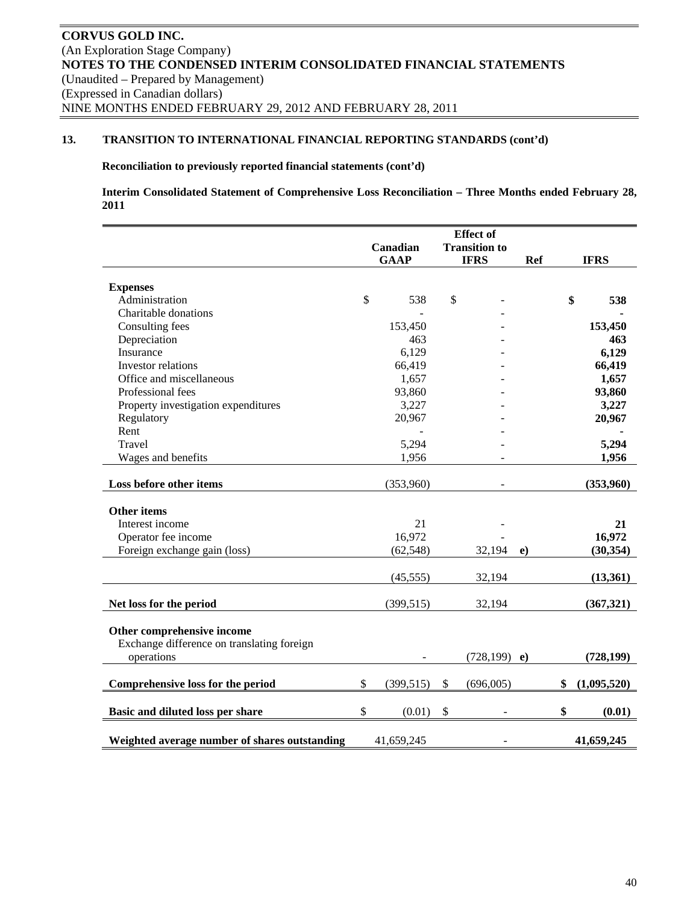# **Reconciliation to previously reported financial statements (cont'd)**

**Interim Consolidated Statement of Comprehensive Loss Reconciliation – Three Months ended February 28, 2011** 

| <b>Effect</b> of |             |                                                                                                                 |             |                                          |                 |             |
|------------------|-------------|-----------------------------------------------------------------------------------------------------------------|-------------|------------------------------------------|-----------------|-------------|
|                  |             |                                                                                                                 |             |                                          |                 |             |
|                  | <b>GAAP</b> |                                                                                                                 | <b>IFRS</b> | <b>Ref</b>                               |                 | <b>IFRS</b> |
|                  |             |                                                                                                                 |             |                                          |                 |             |
|                  |             |                                                                                                                 |             |                                          |                 |             |
| $\mathcal{S}$    | 538         | \$                                                                                                              |             |                                          |                 | 538         |
|                  |             |                                                                                                                 |             |                                          |                 |             |
|                  | 153,450     |                                                                                                                 |             |                                          |                 | 153,450     |
|                  | 463         |                                                                                                                 |             |                                          |                 | 463         |
|                  | 6,129       |                                                                                                                 |             |                                          |                 | 6,129       |
|                  | 66,419      |                                                                                                                 |             |                                          |                 | 66,419      |
|                  | 1,657       |                                                                                                                 |             |                                          |                 | 1,657       |
|                  |             |                                                                                                                 |             |                                          |                 | 93,860      |
|                  |             |                                                                                                                 |             |                                          |                 | 3,227       |
|                  |             |                                                                                                                 |             |                                          |                 | 20,967      |
|                  |             |                                                                                                                 |             |                                          |                 |             |
|                  |             |                                                                                                                 |             |                                          |                 | 5,294       |
|                  |             |                                                                                                                 |             |                                          |                 | 1,956       |
|                  |             |                                                                                                                 |             |                                          |                 |             |
|                  | (353,960)   |                                                                                                                 |             |                                          |                 | (353,960)   |
|                  |             |                                                                                                                 |             |                                          |                 |             |
|                  |             |                                                                                                                 |             |                                          |                 |             |
|                  |             |                                                                                                                 |             |                                          |                 | 21          |
|                  |             |                                                                                                                 |             |                                          |                 | 16,972      |
|                  |             |                                                                                                                 |             | $\bf{e}$                                 |                 | (30, 354)   |
|                  |             |                                                                                                                 |             |                                          |                 |             |
|                  |             |                                                                                                                 |             |                                          |                 | (13,361)    |
|                  | (399, 515)  |                                                                                                                 | 32,194      |                                          |                 | (367, 321)  |
|                  |             |                                                                                                                 |             |                                          |                 |             |
|                  |             |                                                                                                                 |             |                                          |                 |             |
|                  |             |                                                                                                                 |             |                                          |                 |             |
|                  |             |                                                                                                                 |             |                                          |                 | (728, 199)  |
| \$               | (399, 515)  | \$                                                                                                              | (696,005)   |                                          | \$              | (1,095,520) |
|                  |             |                                                                                                                 |             |                                          |                 |             |
| \$               | (0.01)      | \$                                                                                                              |             |                                          | \$              | (0.01)      |
|                  |             |                                                                                                                 |             |                                          |                 | 41,659,245  |
|                  |             | Canadian<br>93,860<br>3,227<br>20,967<br>5,294<br>1,956<br>21<br>16,972<br>(62, 548)<br>(45, 555)<br>41,659,245 |             | <b>Transition to</b><br>32,194<br>32,194 | $(728, 199)$ e) | \$          |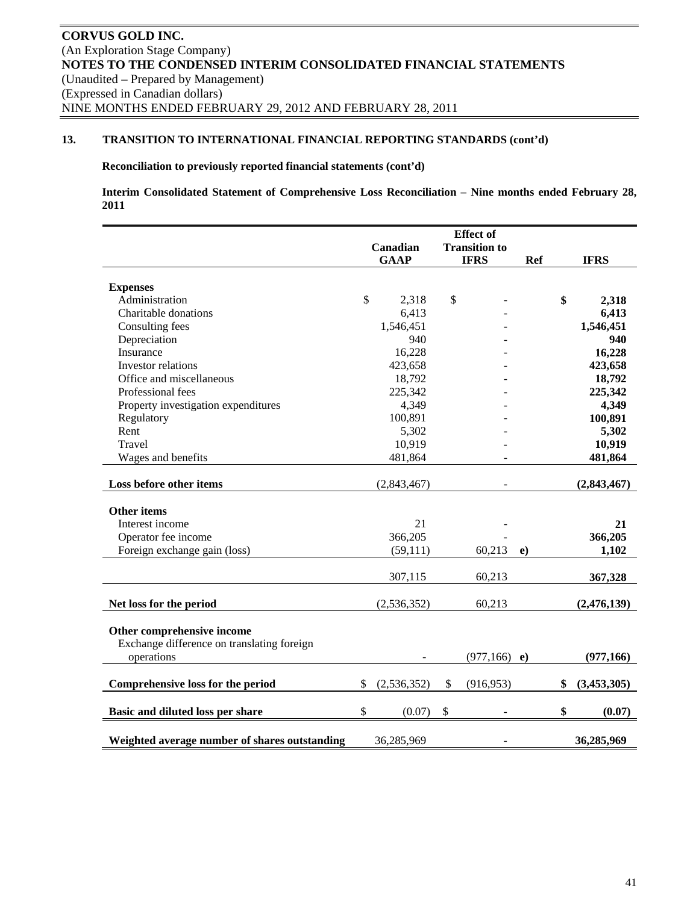# **Reconciliation to previously reported financial statements (cont'd)**

**Interim Consolidated Statement of Comprehensive Loss Reconciliation – Nine months ended February 28, 2011** 

|                                               | <b>Effect</b> of |             |    |                      |            |                   |
|-----------------------------------------------|------------------|-------------|----|----------------------|------------|-------------------|
|                                               |                  | Canadian    |    | <b>Transition to</b> |            |                   |
|                                               |                  | <b>GAAP</b> |    | <b>IFRS</b>          | <b>Ref</b> | <b>IFRS</b>       |
|                                               |                  |             |    |                      |            |                   |
| <b>Expenses</b>                               |                  |             |    |                      |            |                   |
| Administration                                | \$               | 2,318       | \$ |                      |            | \$<br>2,318       |
| Charitable donations                          |                  | 6,413       |    |                      |            | 6,413             |
| Consulting fees                               |                  | 1,546,451   |    |                      |            | 1,546,451         |
| Depreciation                                  |                  | 940         |    |                      |            | 940               |
| Insurance                                     |                  | 16,228      |    |                      |            | 16,228            |
| Investor relations                            |                  | 423,658     |    |                      |            | 423,658           |
| Office and miscellaneous                      |                  | 18,792      |    |                      |            | 18,792            |
| Professional fees                             |                  | 225,342     |    |                      |            | 225,342           |
| Property investigation expenditures           |                  | 4,349       |    |                      |            | 4,349             |
| Regulatory                                    |                  | 100,891     |    |                      |            | 100,891           |
| Rent                                          |                  | 5,302       |    |                      |            | 5,302             |
| Travel                                        |                  | 10,919      |    |                      |            | 10,919            |
| Wages and benefits                            |                  | 481,864     |    |                      |            | 481,864           |
|                                               |                  |             |    |                      |            |                   |
| Loss before other items                       |                  | (2,843,467) |    |                      |            | (2,843,467)       |
|                                               |                  |             |    |                      |            |                   |
| <b>Other items</b>                            |                  |             |    |                      |            |                   |
| Interest income                               |                  | 21          |    |                      |            | 21                |
| Operator fee income                           |                  | 366,205     |    |                      |            | 366,205           |
| Foreign exchange gain (loss)                  |                  | (59, 111)   |    | 60,213               | $\bf e)$   | 1,102             |
|                                               |                  |             |    |                      |            |                   |
|                                               |                  | 307,115     |    | 60,213               |            | 367,328           |
| Net loss for the period                       |                  | (2,536,352) |    | 60,213               |            | (2,476,139)       |
|                                               |                  |             |    |                      |            |                   |
| Other comprehensive income                    |                  |             |    |                      |            |                   |
| Exchange difference on translating foreign    |                  |             |    |                      |            |                   |
| operations                                    |                  |             |    | $(977,166)$ e)       |            | (977, 166)        |
|                                               |                  |             |    |                      |            |                   |
| Comprehensive loss for the period             | \$               | (2,536,352) | \$ | (916, 953)           |            | \$<br>(3,453,305) |
| Basic and diluted loss per share              | \$               | (0.07)      | \$ |                      |            | \$<br>(0.07)      |
|                                               |                  |             |    |                      |            |                   |
| Weighted average number of shares outstanding |                  | 36,285,969  |    |                      |            | 36,285,969        |